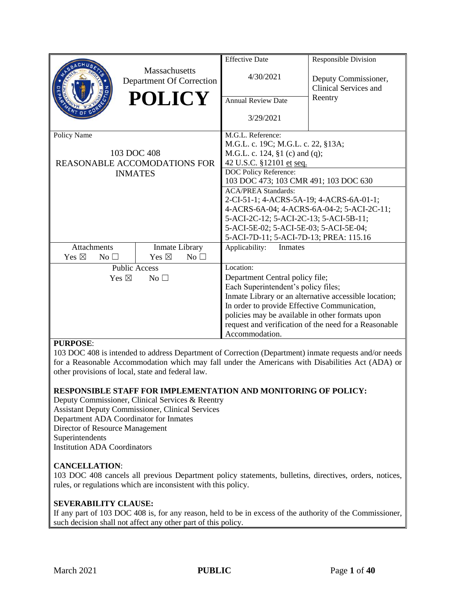|                              |                                           | <b>Effective Date</b>                           | <b>Responsible Division</b>                           |
|------------------------------|-------------------------------------------|-------------------------------------------------|-------------------------------------------------------|
|                              | Massachusetts<br>Department Of Correction | 4/30/2021                                       | Deputy Commissioner,<br>Clinical Services and         |
|                              | <b>POLICY</b>                             | <b>Annual Review Date</b>                       | Reentry                                               |
|                              |                                           | 3/29/2021                                       |                                                       |
| Policy Name                  |                                           | M.G.L. Reference:                               |                                                       |
|                              |                                           | M.G.L. c. 19C; M.G.L. c. 22, §13A;              |                                                       |
|                              | 103 DOC 408                               | M.G.L. c. 124, §1 (c) and (q);                  |                                                       |
|                              | <b>REASONABLE ACCOMODATIONS FOR</b>       | 42 U.S.C. §12101 et seq.                        |                                                       |
|                              | <b>INMATES</b>                            | DOC Policy Reference:                           |                                                       |
|                              |                                           | 103 DOC 473; 103 CMR 491; 103 DOC 630           |                                                       |
|                              |                                           | <b>ACA/PREA Standards:</b>                      |                                                       |
|                              |                                           | 2-CI-51-1; 4-ACRS-5A-19; 4-ACRS-6A-01-1;        |                                                       |
|                              |                                           |                                                 | 4-ACRS-6A-04; 4-ACRS-6A-04-2; 5-ACI-2C-11;            |
|                              |                                           | 5-ACI-2C-12; 5-ACI-2C-13; 5-ACI-5B-11;          |                                                       |
|                              |                                           | 5-ACI-5E-02; 5-ACI-5E-03; 5-ACI-5E-04;          |                                                       |
|                              |                                           | 5-ACI-7D-11; 5-ACI-7D-13; PREA: 115.16          |                                                       |
| <b>Attachments</b>           | Inmate Library                            | Applicability:<br>Inmates                       |                                                       |
| Yes $\boxtimes$<br>No $\Box$ | Yes $\boxtimes$<br>No $\square$           |                                                 |                                                       |
|                              | <b>Public Access</b>                      | Location:                                       |                                                       |
| Yes $\boxtimes$              | No <sub>1</sub>                           | Department Central policy file;                 |                                                       |
|                              |                                           | Each Superintendent's policy files;             |                                                       |
|                              |                                           |                                                 | Inmate Library or an alternative accessible location; |
|                              |                                           | In order to provide Effective Communication,    |                                                       |
|                              |                                           | policies may be available in other formats upon |                                                       |
|                              |                                           |                                                 | request and verification of the need for a Reasonable |
|                              |                                           | Accommodation.                                  |                                                       |

#### **PURPOSE**:

103 DOC 408 is intended to address Department of Correction (Department) inmate requests and/or needs for a Reasonable Accommodation which may fall under the Americans with Disabilities Act (ADA) or other provisions of local, state and federal law.

#### **RESPONSIBLE STAFF FOR IMPLEMENTATION AND MONITORING OF POLICY:**

Deputy Commissioner, Clinical Services & Reentry Assistant Deputy Commissioner, Clinical Services Department ADA Coordinator for Inmates Director of Resource Management Superintendents Institution ADA Coordinators

#### **CANCELLATION**:

103 DOC 408 cancels all previous Department policy statements, bulletins, directives, orders, notices, rules, or regulations which are inconsistent with this policy.

#### **SEVERABILITY CLAUSE:**

If any part of 103 DOC 408 is, for any reason, held to be in excess of the authority of the Commissioner, such decision shall not affect any other part of this policy.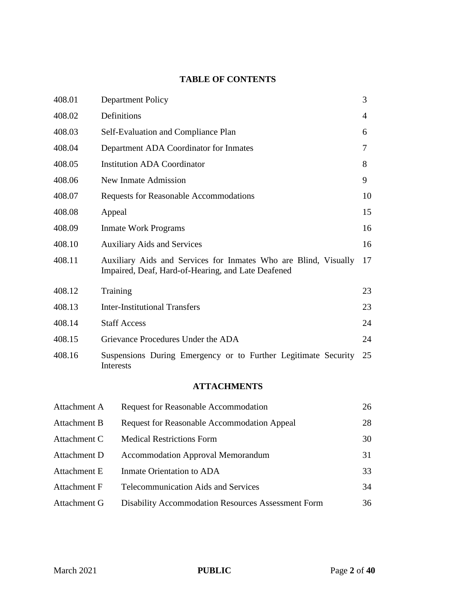## **TABLE OF CONTENTS**

| 408.01 | <b>Department Policy</b>                                                                                              | 3  |
|--------|-----------------------------------------------------------------------------------------------------------------------|----|
| 408.02 | Definitions                                                                                                           | 4  |
| 408.03 | Self-Evaluation and Compliance Plan                                                                                   | 6  |
| 408.04 | Department ADA Coordinator for Inmates                                                                                | 7  |
| 408.05 | <b>Institution ADA Coordinator</b>                                                                                    | 8  |
| 408.06 | New Inmate Admission                                                                                                  | 9  |
| 408.07 | <b>Requests for Reasonable Accommodations</b>                                                                         | 10 |
| 408.08 | Appeal                                                                                                                | 15 |
| 408.09 | <b>Inmate Work Programs</b>                                                                                           | 16 |
| 408.10 | <b>Auxiliary Aids and Services</b>                                                                                    | 16 |
| 408.11 | Auxiliary Aids and Services for Inmates Who are Blind, Visually<br>Impaired, Deaf, Hard-of-Hearing, and Late Deafened | 17 |
| 408.12 | Training                                                                                                              | 23 |
| 408.13 | <b>Inter-Institutional Transfers</b>                                                                                  | 23 |
| 408.14 | <b>Staff Access</b>                                                                                                   | 24 |
| 408.15 | Grievance Procedures Under the ADA                                                                                    | 24 |
| 408.16 | Suspensions During Emergency or to Further Legitimate Security<br>Interests                                           | 25 |
|        |                                                                                                                       |    |

## **ATTACHMENTS**

| Attachment A | <b>Request for Reasonable Accommodation</b>               | 26 |
|--------------|-----------------------------------------------------------|----|
| Attachment B | <b>Request for Reasonable Accommodation Appeal</b>        | 28 |
| Attachment C | <b>Medical Restrictions Form</b>                          | 30 |
| Attachment D | <b>Accommodation Approval Memorandum</b>                  | 31 |
| Attachment E | Inmate Orientation to ADA                                 | 33 |
| Attachment F | <b>Telecommunication Aids and Services</b>                | 34 |
| Attachment G | <b>Disability Accommodation Resources Assessment Form</b> | 36 |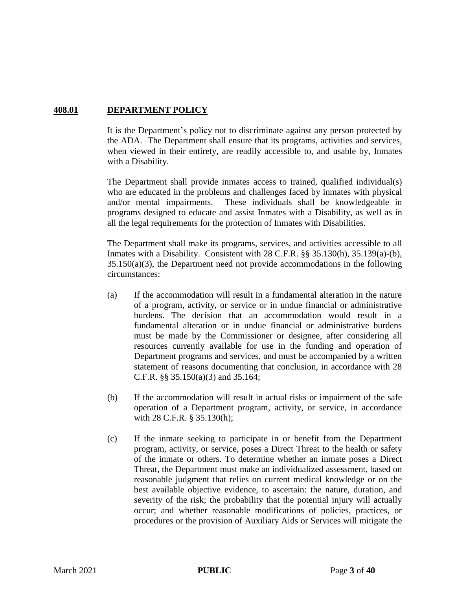### **408.01 DEPARTMENT POLICY**

It is the Department's policy not to discriminate against any person protected by the ADA. The Department shall ensure that its programs, activities and services, when viewed in their entirety, are readily accessible to, and usable by, Inmates with a Disability.

The Department shall provide inmates access to trained, qualified individual(s) who are educated in the problems and challenges faced by inmates with physical and/or mental impairments. These individuals shall be knowledgeable in programs designed to educate and assist Inmates with a Disability, as well as in all the legal requirements for the protection of Inmates with Disabilities.

The Department shall make its programs, services, and activities accessible to all Inmates with a Disability. Consistent with 28 C.F.R. §§ 35.130(h), 35.139(a)-(b), 35.150(a)(3), the Department need not provide accommodations in the following circumstances:

- (a) If the accommodation will result in a fundamental alteration in the nature of a program, activity, or service or in undue financial or administrative burdens. The decision that an accommodation would result in a fundamental alteration or in undue financial or administrative burdens must be made by the Commissioner or designee, after considering all resources currently available for use in the funding and operation of Department programs and services, and must be accompanied by a written statement of reasons documenting that conclusion, in accordance with 28 C.F.R. §§ 35.150(a)(3) and 35.164;
- (b) If the accommodation will result in actual risks or impairment of the safe operation of a Department program, activity, or service, in accordance with 28 C.F.R. § 35.130(h);
- (c) If the inmate seeking to participate in or benefit from the Department program, activity, or service, poses a Direct Threat to the health or safety of the inmate or others. To determine whether an inmate poses a Direct Threat, the Department must make an individualized assessment, based on reasonable judgment that relies on current medical knowledge or on the best available objective evidence, to ascertain: the nature, duration, and severity of the risk; the probability that the potential injury will actually occur; and whether reasonable modifications of policies, practices, or procedures or the provision of Auxiliary Aids or Services will mitigate the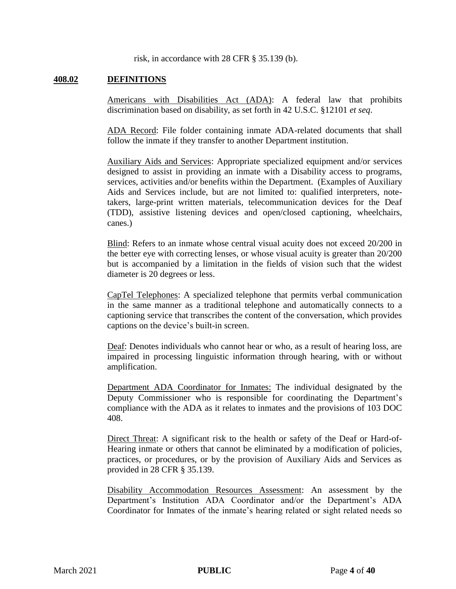risk, in accordance with 28 CFR § 35.139 (b).

#### **408.02 DEFINITIONS**

Americans with Disabilities Act (ADA): A federal law that prohibits discrimination based on disability, as set forth in 42 U.S.C. §12101 *et seq*.

ADA Record: File folder containing inmate ADA-related documents that shall follow the inmate if they transfer to another Department institution.

Auxiliary Aids and Services: Appropriate specialized equipment and/or services designed to assist in providing an inmate with a Disability access to programs, services, activities and/or benefits within the Department. (Examples of Auxiliary Aids and Services include, but are not limited to: qualified interpreters, notetakers, large-print written materials, telecommunication devices for the Deaf (TDD), assistive listening devices and open/closed captioning, wheelchairs, canes.)

Blind: Refers to an inmate whose central visual acuity does not exceed 20/200 in the better eye with correcting lenses, or whose visual acuity is greater than 20/200 but is accompanied by a limitation in the fields of vision such that the widest diameter is 20 degrees or less.

CapTel Telephones: A specialized telephone that permits verbal communication in the same manner as a traditional telephone and automatically connects to a captioning service that transcribes the content of the conversation, which provides captions on the device's built-in screen.

Deaf: Denotes individuals who cannot hear or who, as a result of hearing loss, are impaired in processing linguistic information through hearing, with or without amplification.

Department ADA Coordinator for Inmates: The individual designated by the Deputy Commissioner who is responsible for coordinating the Department's compliance with the ADA as it relates to inmates and the provisions of 103 DOC 408.

Direct Threat: A significant risk to the health or safety of the Deaf or Hard-of-Hearing inmate or others that cannot be eliminated by a modification of policies, practices, or procedures, or by the provision of Auxiliary Aids and Services as provided in 28 CFR § 35.139.

Disability Accommodation Resources Assessment: An assessment by the Department's Institution ADA Coordinator and/or the Department's ADA Coordinator for Inmates of the inmate's hearing related or sight related needs so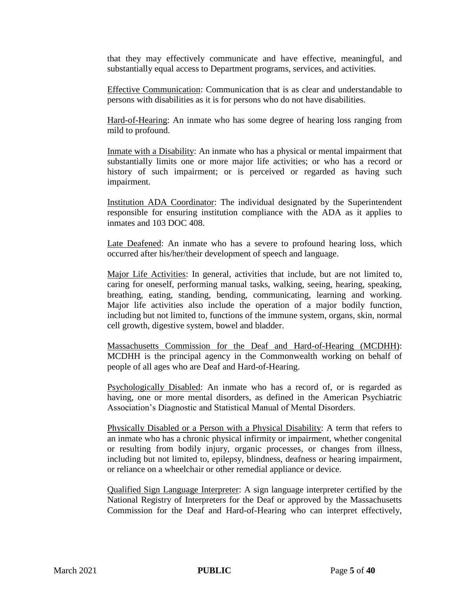that they may effectively communicate and have effective, meaningful, and substantially equal access to Department programs, services, and activities.

Effective Communication: Communication that is as clear and understandable to persons with disabilities as it is for persons who do not have disabilities.

Hard-of-Hearing: An inmate who has some degree of hearing loss ranging from mild to profound.

Inmate with a Disability: An inmate who has a physical or mental impairment that substantially limits one or more major life activities; or who has a record or history of such impairment; or is perceived or regarded as having such impairment.

Institution ADA Coordinator: The individual designated by the Superintendent responsible for ensuring institution compliance with the ADA as it applies to inmates and 103 DOC 408.

Late Deafened: An inmate who has a severe to profound hearing loss, which occurred after his/her/their development of speech and language.

Major Life Activities: In general, activities that include, but are not limited to, caring for oneself, performing manual tasks, walking, seeing, hearing, speaking, breathing, eating, standing, bending, communicating, learning and working. Major life activities also include the operation of a major bodily function, including but not limited to, functions of the immune system, organs, skin, normal cell growth, digestive system, bowel and bladder.

Massachusetts Commission for the Deaf and Hard-of-Hearing (MCDHH): MCDHH is the principal agency in the Commonwealth working on behalf of people of all ages who are Deaf and Hard-of-Hearing.

Psychologically Disabled: An inmate who has a record of, or is regarded as having, one or more mental disorders, as defined in the American Psychiatric Association's Diagnostic and Statistical Manual of Mental Disorders.

Physically Disabled or a Person with a Physical Disability: A term that refers to an inmate who has a chronic physical infirmity or impairment, whether congenital or resulting from bodily injury, organic processes, or changes from illness, including but not limited to, epilepsy, blindness, deafness or hearing impairment, or reliance on a wheelchair or other remedial appliance or device.

Qualified Sign Language Interpreter: A sign language interpreter certified by the National Registry of Interpreters for the Deaf or approved by the Massachusetts Commission for the Deaf and Hard-of-Hearing who can interpret effectively,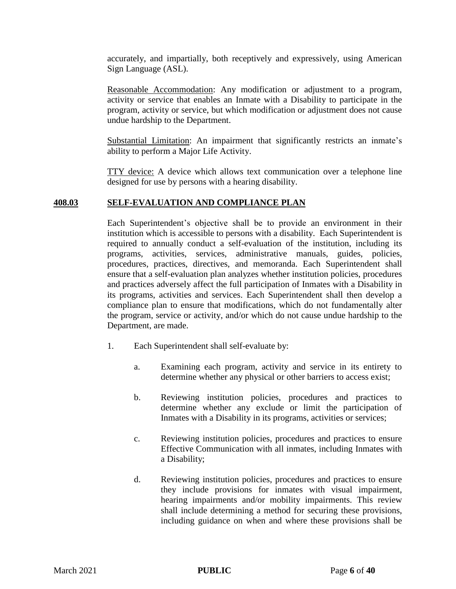accurately, and impartially, both receptively and expressively, using American Sign Language (ASL).

Reasonable Accommodation: Any modification or adjustment to a program, activity or service that enables an Inmate with a Disability to participate in the program, activity or service, but which modification or adjustment does not cause undue hardship to the Department.

Substantial Limitation: An impairment that significantly restricts an inmate's ability to perform a Major Life Activity.

TTY device: A device which allows text communication over a telephone line designed for use by persons with a hearing disability.

#### **408.03 SELF-EVALUATION AND COMPLIANCE PLAN**

Each Superintendent's objective shall be to provide an environment in their institution which is accessible to persons with a disability. Each Superintendent is required to annually conduct a self-evaluation of the institution, including its programs, activities, services, administrative manuals, guides, policies, procedures, practices, directives, and memoranda. Each Superintendent shall ensure that a self-evaluation plan analyzes whether institution policies, procedures and practices adversely affect the full participation of Inmates with a Disability in its programs, activities and services. Each Superintendent shall then develop a compliance plan to ensure that modifications, which do not fundamentally alter the program, service or activity, and/or which do not cause undue hardship to the Department, are made.

- 1. Each Superintendent shall self-evaluate by:
	- a. Examining each program, activity and service in its entirety to determine whether any physical or other barriers to access exist;
	- b. Reviewing institution policies, procedures and practices to determine whether any exclude or limit the participation of Inmates with a Disability in its programs, activities or services;
	- c. Reviewing institution policies, procedures and practices to ensure Effective Communication with all inmates, including Inmates with a Disability;
	- d. Reviewing institution policies, procedures and practices to ensure they include provisions for inmates with visual impairment, hearing impairments and/or mobility impairments. This review shall include determining a method for securing these provisions, including guidance on when and where these provisions shall be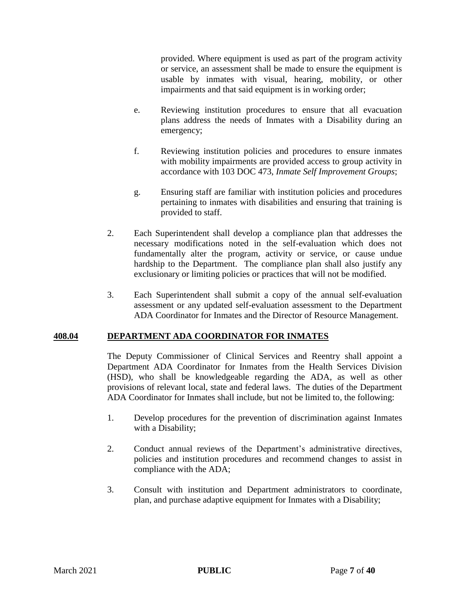provided. Where equipment is used as part of the program activity or service, an assessment shall be made to ensure the equipment is usable by inmates with visual, hearing, mobility, or other impairments and that said equipment is in working order;

- e. Reviewing institution procedures to ensure that all evacuation plans address the needs of Inmates with a Disability during an emergency;
- f. Reviewing institution policies and procedures to ensure inmates with mobility impairments are provided access to group activity in accordance with 103 DOC 473, *Inmate Self Improvement Groups*;
- g. Ensuring staff are familiar with institution policies and procedures pertaining to inmates with disabilities and ensuring that training is provided to staff.
- 2. Each Superintendent shall develop a compliance plan that addresses the necessary modifications noted in the self-evaluation which does not fundamentally alter the program, activity or service, or cause undue hardship to the Department. The compliance plan shall also justify any exclusionary or limiting policies or practices that will not be modified.
- 3. Each Superintendent shall submit a copy of the annual self-evaluation assessment or any updated self-evaluation assessment to the Department ADA Coordinator for Inmates and the Director of Resource Management.

#### **408.04 DEPARTMENT ADA COORDINATOR FOR INMATES**

The Deputy Commissioner of Clinical Services and Reentry shall appoint a Department ADA Coordinator for Inmates from the Health Services Division (HSD), who shall be knowledgeable regarding the ADA, as well as other provisions of relevant local, state and federal laws. The duties of the Department ADA Coordinator for Inmates shall include, but not be limited to, the following:

- 1. Develop procedures for the prevention of discrimination against Inmates with a Disability;
- 2. Conduct annual reviews of the Department's administrative directives, policies and institution procedures and recommend changes to assist in compliance with the ADA;
- 3. Consult with institution and Department administrators to coordinate, plan, and purchase adaptive equipment for Inmates with a Disability;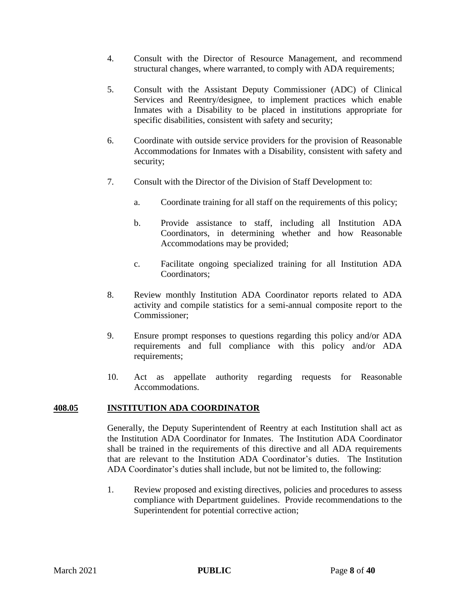- 4. Consult with the Director of Resource Management, and recommend structural changes, where warranted, to comply with ADA requirements;
- 5. Consult with the Assistant Deputy Commissioner (ADC) of Clinical Services and Reentry/designee, to implement practices which enable Inmates with a Disability to be placed in institutions appropriate for specific disabilities, consistent with safety and security;
- 6. Coordinate with outside service providers for the provision of Reasonable Accommodations for Inmates with a Disability, consistent with safety and security;
- 7. Consult with the Director of the Division of Staff Development to:
	- a. Coordinate training for all staff on the requirements of this policy;
	- b. Provide assistance to staff, including all Institution ADA Coordinators, in determining whether and how Reasonable Accommodations may be provided;
	- c. Facilitate ongoing specialized training for all Institution ADA Coordinators;
- 8. Review monthly Institution ADA Coordinator reports related to ADA activity and compile statistics for a semi-annual composite report to the Commissioner;
- 9. Ensure prompt responses to questions regarding this policy and/or ADA requirements and full compliance with this policy and/or ADA requirements;
- 10. Act as appellate authority regarding requests for Reasonable Accommodations.

#### **408.05 INSTITUTION ADA COORDINATOR**

Generally, the Deputy Superintendent of Reentry at each Institution shall act as the Institution ADA Coordinator for Inmates. The Institution ADA Coordinator shall be trained in the requirements of this directive and all ADA requirements that are relevant to the Institution ADA Coordinator's duties. The Institution ADA Coordinator's duties shall include, but not be limited to, the following:

1. Review proposed and existing directives, policies and procedures to assess compliance with Department guidelines. Provide recommendations to the Superintendent for potential corrective action;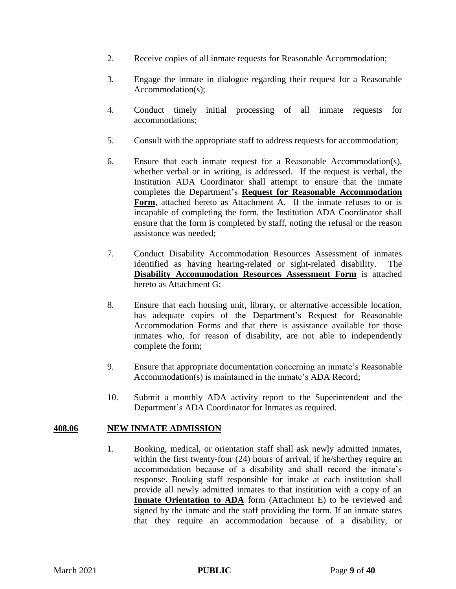- 2. Receive copies of all inmate requests for Reasonable Accommodation;
- 3. Engage the inmate in dialogue regarding their request for a Reasonable Accommodation(s);
- 4. Conduct timely initial processing of all inmate requests for accommodations;
- 5. Consult with the appropriate staff to address requests for accommodation;
- 6. Ensure that each inmate request for a Reasonable Accommodation(s), whether verbal or in writing, is addressed. If the request is verbal, the Institution ADA Coordinator shall attempt to ensure that the inmate completes the Department's **Request for Reasonable Accommodation**  Form, attached hereto as Attachment A. If the inmate refuses to or is incapable of completing the form, the Institution ADA Coordinator shall ensure that the form is completed by staff, noting the refusal or the reason assistance was needed;
- 7. Conduct Disability Accommodation Resources Assessment of inmates identified as having hearing-related or sight-related disability. The **Disability Accommodation Resources Assessment Form** is attached hereto as Attachment G;
- 8. Ensure that each housing unit, library, or alternative accessible location, has adequate copies of the Department's Request for Reasonable Accommodation Forms and that there is assistance available for those inmates who, for reason of disability, are not able to independently complete the form;
- 9. Ensure that appropriate documentation concerning an inmate's Reasonable Accommodation(s) is maintained in the inmate's ADA Record;
- 10. Submit a monthly ADA activity report to the Superintendent and the Department's ADA Coordinator for Inmates as required.

#### **408.06 NEW INMATE ADMISSION**

1. Booking, medical, or orientation staff shall ask newly admitted inmates, within the first twenty-four (24) hours of arrival, if he/she/they require an accommodation because of a disability and shall record the inmate's response. Booking staff responsible for intake at each institution shall provide all newly admitted inmates to that institution with a copy of an **Inmate Orientation to ADA** form (Attachment E) to be reviewed and signed by the inmate and the staff providing the form. If an inmate states that they require an accommodation because of a disability, or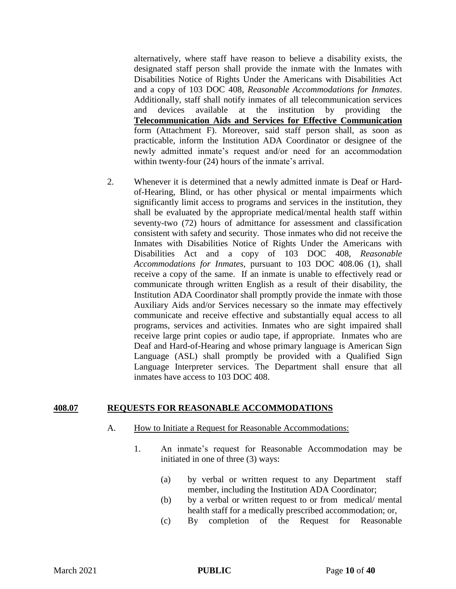alternatively, where staff have reason to believe a disability exists, the designated staff person shall provide the inmate with the Inmates with Disabilities Notice of Rights Under the Americans with Disabilities Act and a copy of 103 DOC 408, *Reasonable Accommodations for Inmates*. Additionally, staff shall notify inmates of all telecommunication services and devices available at the institution by providing the **Telecommunication Aids and Services for Effective Communication** form (Attachment F). Moreover, said staff person shall, as soon as practicable, inform the Institution ADA Coordinator or designee of the newly admitted inmate's request and/or need for an accommodation within twenty-four (24) hours of the inmate's arrival.

2. Whenever it is determined that a newly admitted inmate is Deaf or Hardof-Hearing, Blind, or has other physical or mental impairments which significantly limit access to programs and services in the institution, they shall be evaluated by the appropriate medical/mental health staff within seventy-two (72) hours of admittance for assessment and classification consistent with safety and security. Those inmates who did not receive the Inmates with Disabilities Notice of Rights Under the Americans with Disabilities Act and a copy of 103 DOC 408, *Reasonable Accommodations for Inmates*, pursuant to 103 DOC 408.06 (1), shall receive a copy of the same. If an inmate is unable to effectively read or communicate through written English as a result of their disability, the Institution ADA Coordinator shall promptly provide the inmate with those Auxiliary Aids and/or Services necessary so the inmate may effectively communicate and receive effective and substantially equal access to all programs, services and activities. Inmates who are sight impaired shall receive large print copies or audio tape, if appropriate. Inmates who are Deaf and Hard-of-Hearing and whose primary language is American Sign Language (ASL) shall promptly be provided with a Qualified Sign Language Interpreter services. The Department shall ensure that all inmates have access to 103 DOC 408.

#### **408.07 REQUESTS FOR REASONABLE ACCOMMODATIONS**

- A. How to Initiate a Request for Reasonable Accommodations:
	- 1. An inmate's request for Reasonable Accommodation may be initiated in one of three (3) ways:
		- (a) by verbal or written request to any Department staff member, including the Institution ADA Coordinator;
		- (b) by a verbal or written request to or from medical/ mental health staff for a medically prescribed accommodation; or,
		- (c) By completion of the Request for Reasonable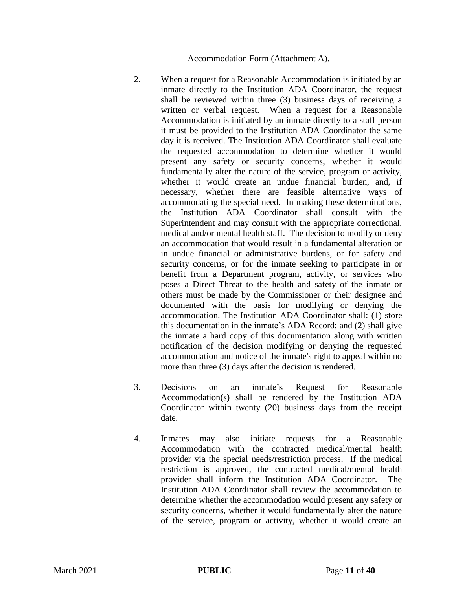#### Accommodation Form (Attachment A).

- 2. When a request for a Reasonable Accommodation is initiated by an inmate directly to the Institution ADA Coordinator, the request shall be reviewed within three (3) business days of receiving a written or verbal request. When a request for a Reasonable Accommodation is initiated by an inmate directly to a staff person it must be provided to the Institution ADA Coordinator the same day it is received. The Institution ADA Coordinator shall evaluate the requested accommodation to determine whether it would present any safety or security concerns, whether it would fundamentally alter the nature of the service, program or activity, whether it would create an undue financial burden, and, if necessary, whether there are feasible alternative ways of accommodating the special need. In making these determinations, the Institution ADA Coordinator shall consult with the Superintendent and may consult with the appropriate correctional, medical and/or mental health staff. The decision to modify or deny an accommodation that would result in a fundamental alteration or in undue financial or administrative burdens, or for safety and security concerns, or for the inmate seeking to participate in or benefit from a Department program, activity, or services who poses a Direct Threat to the health and safety of the inmate or others must be made by the Commissioner or their designee and documented with the basis for modifying or denying the accommodation. The Institution ADA Coordinator shall: (1) store this documentation in the inmate's ADA Record; and (2) shall give the inmate a hard copy of this documentation along with written notification of the decision modifying or denying the requested accommodation and notice of the inmate's right to appeal within no more than three (3) days after the decision is rendered.
- 3. Decisions on an inmate's Request for Reasonable Accommodation(s) shall be rendered by the Institution ADA Coordinator within twenty (20) business days from the receipt date.
- 4. Inmates may also initiate requests for a Reasonable Accommodation with the contracted medical/mental health provider via the special needs/restriction process. If the medical restriction is approved, the contracted medical/mental health provider shall inform the Institution ADA Coordinator. The Institution ADA Coordinator shall review the accommodation to determine whether the accommodation would present any safety or security concerns, whether it would fundamentally alter the nature of the service, program or activity, whether it would create an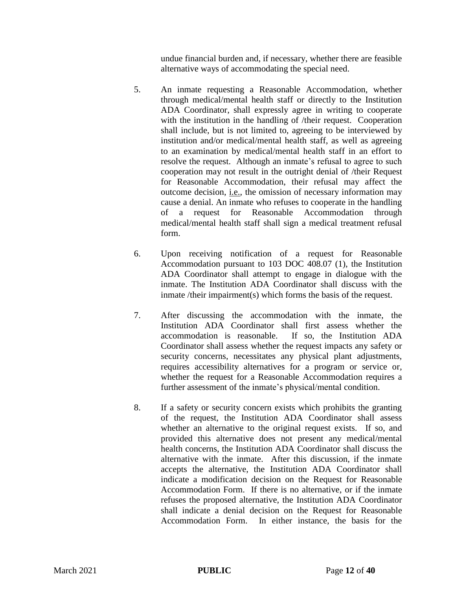undue financial burden and, if necessary, whether there are feasible alternative ways of accommodating the special need.

- 5. An inmate requesting a Reasonable Accommodation, whether through medical/mental health staff or directly to the Institution ADA Coordinator, shall expressly agree in writing to cooperate with the institution in the handling of /their request. Cooperation shall include, but is not limited to, agreeing to be interviewed by institution and/or medical/mental health staff, as well as agreeing to an examination by medical/mental health staff in an effort to resolve the request. Although an inmate's refusal to agree to such cooperation may not result in the outright denial of /their Request for Reasonable Accommodation, their refusal may affect the outcome decision, i.e., the omission of necessary information may cause a denial. An inmate who refuses to cooperate in the handling of a request for Reasonable Accommodation through medical/mental health staff shall sign a medical treatment refusal form.
- 6. Upon receiving notification of a request for Reasonable Accommodation pursuant to 103 DOC 408.07 (1), the Institution ADA Coordinator shall attempt to engage in dialogue with the inmate. The Institution ADA Coordinator shall discuss with the inmate /their impairment(s) which forms the basis of the request.
- 7. After discussing the accommodation with the inmate, the Institution ADA Coordinator shall first assess whether the accommodation is reasonable. If so, the Institution ADA Coordinator shall assess whether the request impacts any safety or security concerns, necessitates any physical plant adjustments, requires accessibility alternatives for a program or service or, whether the request for a Reasonable Accommodation requires a further assessment of the inmate's physical/mental condition.
- 8. If a safety or security concern exists which prohibits the granting of the request, the Institution ADA Coordinator shall assess whether an alternative to the original request exists. If so, and provided this alternative does not present any medical/mental health concerns, the Institution ADA Coordinator shall discuss the alternative with the inmate. After this discussion, if the inmate accepts the alternative, the Institution ADA Coordinator shall indicate a modification decision on the Request for Reasonable Accommodation Form. If there is no alternative, or if the inmate refuses the proposed alternative, the Institution ADA Coordinator shall indicate a denial decision on the Request for Reasonable Accommodation Form. In either instance, the basis for the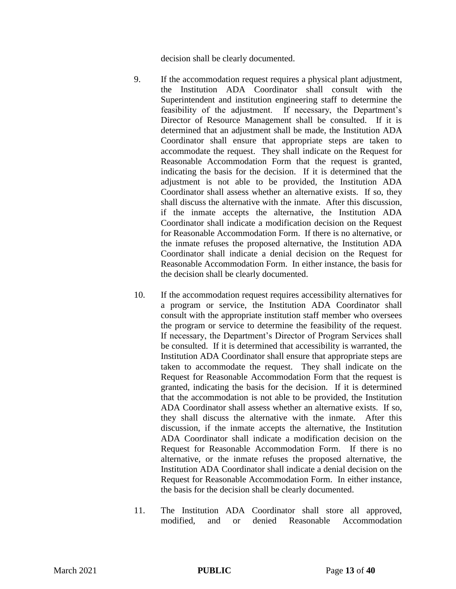decision shall be clearly documented.

- 9. If the accommodation request requires a physical plant adjustment, the Institution ADA Coordinator shall consult with the Superintendent and institution engineering staff to determine the feasibility of the adjustment. If necessary, the Department's Director of Resource Management shall be consulted. If it is determined that an adjustment shall be made, the Institution ADA Coordinator shall ensure that appropriate steps are taken to accommodate the request. They shall indicate on the Request for Reasonable Accommodation Form that the request is granted, indicating the basis for the decision. If it is determined that the adjustment is not able to be provided, the Institution ADA Coordinator shall assess whether an alternative exists. If so, they shall discuss the alternative with the inmate. After this discussion, if the inmate accepts the alternative, the Institution ADA Coordinator shall indicate a modification decision on the Request for Reasonable Accommodation Form. If there is no alternative, or the inmate refuses the proposed alternative, the Institution ADA Coordinator shall indicate a denial decision on the Request for Reasonable Accommodation Form. In either instance, the basis for the decision shall be clearly documented.
- 10. If the accommodation request requires accessibility alternatives for a program or service, the Institution ADA Coordinator shall consult with the appropriate institution staff member who oversees the program or service to determine the feasibility of the request. If necessary, the Department's Director of Program Services shall be consulted. If it is determined that accessibility is warranted, the Institution ADA Coordinator shall ensure that appropriate steps are taken to accommodate the request. They shall indicate on the Request for Reasonable Accommodation Form that the request is granted, indicating the basis for the decision. If it is determined that the accommodation is not able to be provided, the Institution ADA Coordinator shall assess whether an alternative exists. If so, they shall discuss the alternative with the inmate. After this discussion, if the inmate accepts the alternative, the Institution ADA Coordinator shall indicate a modification decision on the Request for Reasonable Accommodation Form. If there is no alternative, or the inmate refuses the proposed alternative, the Institution ADA Coordinator shall indicate a denial decision on the Request for Reasonable Accommodation Form. In either instance, the basis for the decision shall be clearly documented.
- 11. The Institution ADA Coordinator shall store all approved, modified, and or denied Reasonable Accommodation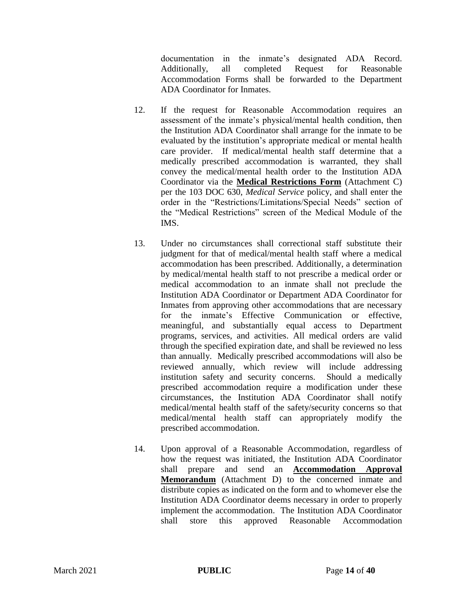documentation in the inmate's designated ADA Record. Additionally, all completed Request for Reasonable Accommodation Forms shall be forwarded to the Department ADA Coordinator for Inmates.

- 12. If the request for Reasonable Accommodation requires an assessment of the inmate's physical/mental health condition, then the Institution ADA Coordinator shall arrange for the inmate to be evaluated by the institution's appropriate medical or mental health care provider. If medical/mental health staff determine that a medically prescribed accommodation is warranted, they shall convey the medical/mental health order to the Institution ADA Coordinator via the **Medical Restrictions Form** (Attachment C) per the 103 DOC 630, *Medical Service* policy, and shall enter the order in the "Restrictions/Limitations/Special Needs" section of the "Medical Restrictions" screen of the Medical Module of the IMS.
- 13. Under no circumstances shall correctional staff substitute their judgment for that of medical/mental health staff where a medical accommodation has been prescribed. Additionally, a determination by medical/mental health staff to not prescribe a medical order or medical accommodation to an inmate shall not preclude the Institution ADA Coordinator or Department ADA Coordinator for Inmates from approving other accommodations that are necessary for the inmate's Effective Communication or effective, meaningful, and substantially equal access to Department programs, services, and activities. All medical orders are valid through the specified expiration date, and shall be reviewed no less than annually. Medically prescribed accommodations will also be reviewed annually, which review will include addressing institution safety and security concerns. Should a medically prescribed accommodation require a modification under these circumstances, the Institution ADA Coordinator shall notify medical/mental health staff of the safety/security concerns so that medical/mental health staff can appropriately modify the prescribed accommodation.
- 14. Upon approval of a Reasonable Accommodation, regardless of how the request was initiated, the Institution ADA Coordinator shall prepare and send an **Accommodation Approval Memorandum** (Attachment D) to the concerned inmate and distribute copies as indicated on the form and to whomever else the Institution ADA Coordinator deems necessary in order to properly implement the accommodation. The Institution ADA Coordinator shall store this approved Reasonable Accommodation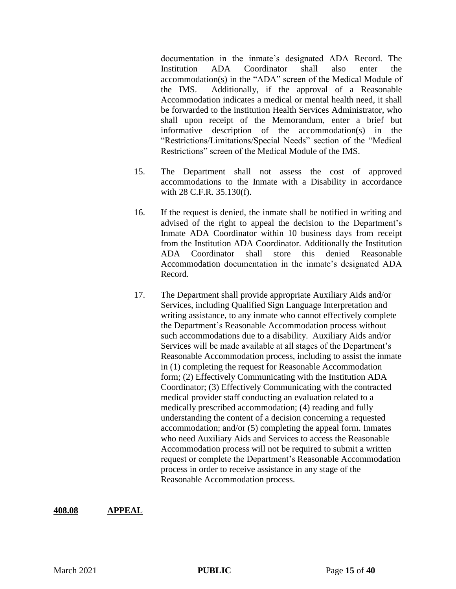documentation in the inmate's designated ADA Record. The Institution ADA Coordinator shall also enter the accommodation(s) in the "ADA" screen of the Medical Module of the IMS. Additionally, if the approval of a Reasonable Accommodation indicates a medical or mental health need, it shall be forwarded to the institution Health Services Administrator, who shall upon receipt of the Memorandum, enter a brief but informative description of the accommodation(s) in the "Restrictions/Limitations/Special Needs" section of the "Medical Restrictions" screen of the Medical Module of the IMS.

- 15. The Department shall not assess the cost of approved accommodations to the Inmate with a Disability in accordance with 28 C.F.R. 35.130(f).
- 16. If the request is denied, the inmate shall be notified in writing and advised of the right to appeal the decision to the Department's Inmate ADA Coordinator within 10 business days from receipt from the Institution ADA Coordinator. Additionally the Institution ADA Coordinator shall store this denied Reasonable Accommodation documentation in the inmate's designated ADA Record.
- 17. The Department shall provide appropriate Auxiliary Aids and/or Services, including Qualified Sign Language Interpretation and writing assistance, to any inmate who cannot effectively complete the Department's Reasonable Accommodation process without such accommodations due to a disability. Auxiliary Aids and/or Services will be made available at all stages of the Department's Reasonable Accommodation process, including to assist the inmate in (1) completing the request for Reasonable Accommodation form; (2) Effectively Communicating with the Institution ADA Coordinator; (3) Effectively Communicating with the contracted medical provider staff conducting an evaluation related to a medically prescribed accommodation; (4) reading and fully understanding the content of a decision concerning a requested accommodation; and/or (5) completing the appeal form. Inmates who need Auxiliary Aids and Services to access the Reasonable Accommodation process will not be required to submit a written request or complete the Department's Reasonable Accommodation process in order to receive assistance in any stage of the Reasonable Accommodation process.

#### **408.08 APPEAL**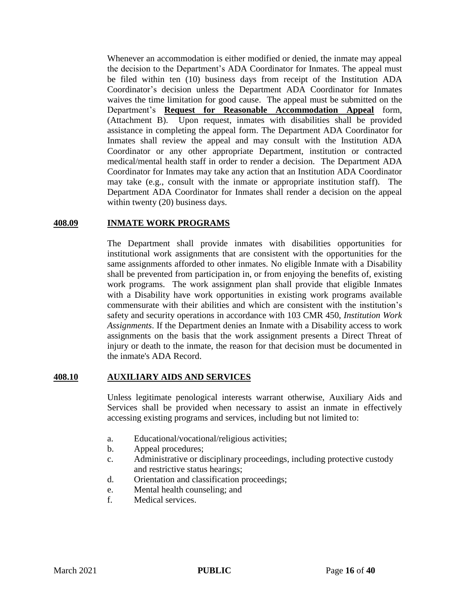Whenever an accommodation is either modified or denied, the inmate may appeal the decision to the Department's ADA Coordinator for Inmates. The appeal must be filed within ten (10) business days from receipt of the Institution ADA Coordinator's decision unless the Department ADA Coordinator for Inmates waives the time limitation for good cause. The appeal must be submitted on the Department's **Request for Reasonable Accommodation Appeal** form, (Attachment B). Upon request, inmates with disabilities shall be provided assistance in completing the appeal form. The Department ADA Coordinator for Inmates shall review the appeal and may consult with the Institution ADA Coordinator or any other appropriate Department, institution or contracted medical/mental health staff in order to render a decision. The Department ADA Coordinator for Inmates may take any action that an Institution ADA Coordinator may take (e.g., consult with the inmate or appropriate institution staff). The Department ADA Coordinator for Inmates shall render a decision on the appeal within twenty (20) business days.

#### **408.09 INMATE WORK PROGRAMS**

The Department shall provide inmates with disabilities opportunities for institutional work assignments that are consistent with the opportunities for the same assignments afforded to other inmates. No eligible Inmate with a Disability shall be prevented from participation in, or from enjoying the benefits of, existing work programs. The work assignment plan shall provide that eligible Inmates with a Disability have work opportunities in existing work programs available commensurate with their abilities and which are consistent with the institution's safety and security operations in accordance with 103 CMR 450, *Institution Work Assignments*. If the Department denies an Inmate with a Disability access to work assignments on the basis that the work assignment presents a Direct Threat of injury or death to the inmate, the reason for that decision must be documented in the inmate's ADA Record.

### **408.10 AUXILIARY AIDS AND SERVICES**

Unless legitimate penological interests warrant otherwise, Auxiliary Aids and Services shall be provided when necessary to assist an inmate in effectively accessing existing programs and services, including but not limited to:

- a. Educational/vocational/religious activities;
- b. Appeal procedures;
- c. Administrative or disciplinary proceedings, including protective custody and restrictive status hearings;
- d. Orientation and classification proceedings;
- e. Mental health counseling; and
- f. Medical services.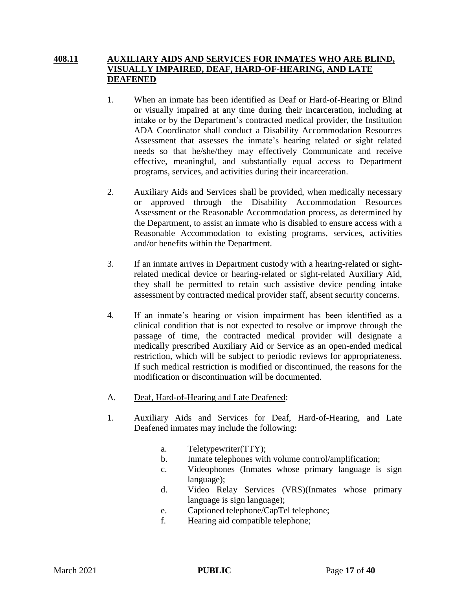### **408.11 AUXILIARY AIDS AND SERVICES FOR INMATES WHO ARE BLIND, VISUALLY IMPAIRED, DEAF, HARD-OF-HEARING, AND LATE DEAFENED**

- 1. When an inmate has been identified as Deaf or Hard-of-Hearing or Blind or visually impaired at any time during their incarceration, including at intake or by the Department's contracted medical provider, the Institution ADA Coordinator shall conduct a Disability Accommodation Resources Assessment that assesses the inmate's hearing related or sight related needs so that he/she/they may effectively Communicate and receive effective, meaningful, and substantially equal access to Department programs, services, and activities during their incarceration.
- 2. Auxiliary Aids and Services shall be provided, when medically necessary or approved through the Disability Accommodation Resources Assessment or the Reasonable Accommodation process, as determined by the Department, to assist an inmate who is disabled to ensure access with a Reasonable Accommodation to existing programs, services, activities and/or benefits within the Department.
- 3. If an inmate arrives in Department custody with a hearing-related or sightrelated medical device or hearing-related or sight-related Auxiliary Aid, they shall be permitted to retain such assistive device pending intake assessment by contracted medical provider staff, absent security concerns.
- 4. If an inmate's hearing or vision impairment has been identified as a clinical condition that is not expected to resolve or improve through the passage of time, the contracted medical provider will designate a medically prescribed Auxiliary Aid or Service as an open-ended medical restriction, which will be subject to periodic reviews for appropriateness. If such medical restriction is modified or discontinued, the reasons for the modification or discontinuation will be documented.
- A. Deaf, Hard-of-Hearing and Late Deafened:
- 1. Auxiliary Aids and Services for Deaf, Hard-of-Hearing, and Late Deafened inmates may include the following:
	- a. Teletypewriter(TTY);
	- b. Inmate telephones with volume control/amplification;
	- c. Videophones (Inmates whose primary language is sign language);
	- d. Video Relay Services (VRS)(Inmates whose primary language is sign language);
	- e. Captioned telephone/CapTel telephone;
	- f. Hearing aid compatible telephone;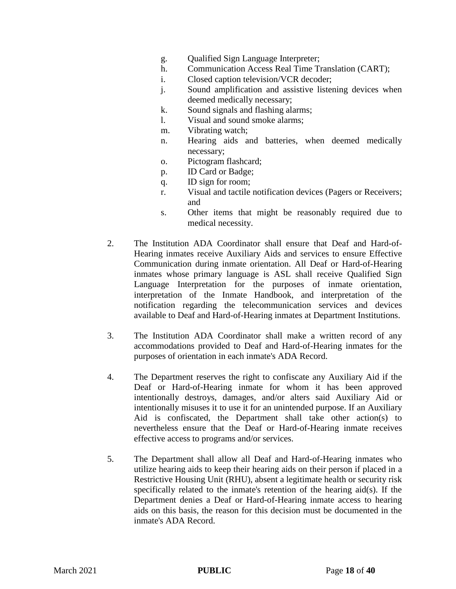- g. Qualified Sign Language Interpreter;
- h. Communication Access Real Time Translation (CART);
- i. Closed caption television/VCR decoder;
- j. Sound amplification and assistive listening devices when deemed medically necessary;
- k. Sound signals and flashing alarms;
- l. Visual and sound smoke alarms;
- m. Vibrating watch;
- n. Hearing aids and batteries, when deemed medically necessary;
- o. Pictogram flashcard;
- p. ID Card or Badge;
- q. ID sign for room;
- r. Visual and tactile notification devices (Pagers or Receivers; and
- s. Other items that might be reasonably required due to medical necessity.
- 2. The Institution ADA Coordinator shall ensure that Deaf and Hard-of-Hearing inmates receive Auxiliary Aids and services to ensure Effective Communication during inmate orientation. All Deaf or Hard-of-Hearing inmates whose primary language is ASL shall receive Qualified Sign Language Interpretation for the purposes of inmate orientation, interpretation of the Inmate Handbook, and interpretation of the notification regarding the telecommunication services and devices available to Deaf and Hard-of-Hearing inmates at Department Institutions.
- 3. The Institution ADA Coordinator shall make a written record of any accommodations provided to Deaf and Hard-of-Hearing inmates for the purposes of orientation in each inmate's ADA Record.
- 4. The Department reserves the right to confiscate any Auxiliary Aid if the Deaf or Hard-of-Hearing inmate for whom it has been approved intentionally destroys, damages, and/or alters said Auxiliary Aid or intentionally misuses it to use it for an unintended purpose. If an Auxiliary Aid is confiscated, the Department shall take other action(s) to nevertheless ensure that the Deaf or Hard-of-Hearing inmate receives effective access to programs and/or services.
- 5. The Department shall allow all Deaf and Hard-of-Hearing inmates who utilize hearing aids to keep their hearing aids on their person if placed in a Restrictive Housing Unit (RHU), absent a legitimate health or security risk specifically related to the inmate's retention of the hearing aid(s). If the Department denies a Deaf or Hard-of-Hearing inmate access to hearing aids on this basis, the reason for this decision must be documented in the inmate's ADA Record.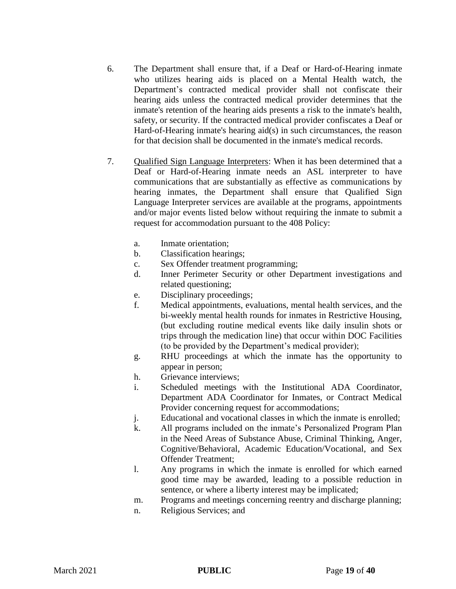- 6. The Department shall ensure that, if a Deaf or Hard-of-Hearing inmate who utilizes hearing aids is placed on a Mental Health watch, the Department's contracted medical provider shall not confiscate their hearing aids unless the contracted medical provider determines that the inmate's retention of the hearing aids presents a risk to the inmate's health, safety, or security. If the contracted medical provider confiscates a Deaf or Hard-of-Hearing inmate's hearing aid(s) in such circumstances, the reason for that decision shall be documented in the inmate's medical records.
- 7. Qualified Sign Language Interpreters: When it has been determined that a Deaf or Hard-of-Hearing inmate needs an ASL interpreter to have communications that are substantially as effective as communications by hearing inmates, the Department shall ensure that Qualified Sign Language Interpreter services are available at the programs, appointments and/or major events listed below without requiring the inmate to submit a request for accommodation pursuant to the 408 Policy:
	- a. Inmate orientation;
	- b. Classification hearings;
	- c. Sex Offender treatment programming;
	- d. Inner Perimeter Security or other Department investigations and related questioning;
	- e. Disciplinary proceedings;
	- f. Medical appointments, evaluations, mental health services, and the bi-weekly mental health rounds for inmates in Restrictive Housing, (but excluding routine medical events like daily insulin shots or trips through the medication line) that occur within DOC Facilities (to be provided by the Department's medical provider);
	- g. RHU proceedings at which the inmate has the opportunity to appear in person;
	- h. Grievance interviews;
	- i. Scheduled meetings with the Institutional ADA Coordinator, Department ADA Coordinator for Inmates, or Contract Medical Provider concerning request for accommodations;
	- j. Educational and vocational classes in which the inmate is enrolled;
	- k. All programs included on the inmate's Personalized Program Plan in the Need Areas of Substance Abuse, Criminal Thinking, Anger, Cognitive/Behavioral, Academic Education/Vocational, and Sex Offender Treatment;
	- l. Any programs in which the inmate is enrolled for which earned good time may be awarded, leading to a possible reduction in sentence, or where a liberty interest may be implicated;
	- m. Programs and meetings concerning reentry and discharge planning;
	- n. Religious Services; and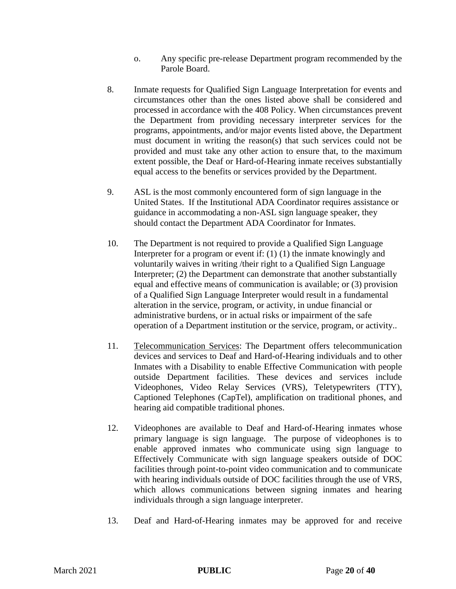- o. Any specific pre-release Department program recommended by the Parole Board.
- 8. Inmate requests for Qualified Sign Language Interpretation for events and circumstances other than the ones listed above shall be considered and processed in accordance with the 408 Policy. When circumstances prevent the Department from providing necessary interpreter services for the programs, appointments, and/or major events listed above, the Department must document in writing the reason(s) that such services could not be provided and must take any other action to ensure that, to the maximum extent possible, the Deaf or Hard-of-Hearing inmate receives substantially equal access to the benefits or services provided by the Department.
- 9. ASL is the most commonly encountered form of sign language in the United States. If the Institutional ADA Coordinator requires assistance or guidance in accommodating a non-ASL sign language speaker, they should contact the Department ADA Coordinator for Inmates.
- 10. The Department is not required to provide a Qualified Sign Language Interpreter for a program or event if: (1) (1) the inmate knowingly and voluntarily waives in writing /their right to a Qualified Sign Language Interpreter; (2) the Department can demonstrate that another substantially equal and effective means of communication is available; or (3) provision of a Qualified Sign Language Interpreter would result in a fundamental alteration in the service, program, or activity, in undue financial or administrative burdens, or in actual risks or impairment of the safe operation of a Department institution or the service, program, or activity..
- 11. Telecommunication Services: The Department offers telecommunication devices and services to Deaf and Hard-of-Hearing individuals and to other Inmates with a Disability to enable Effective Communication with people outside Department facilities. These devices and services include Videophones, Video Relay Services (VRS), Teletypewriters (TTY), Captioned Telephones (CapTel), amplification on traditional phones, and hearing aid compatible traditional phones.
- 12. Videophones are available to Deaf and Hard-of-Hearing inmates whose primary language is sign language. The purpose of videophones is to enable approved inmates who communicate using sign language to Effectively Communicate with sign language speakers outside of DOC facilities through point-to-point video communication and to communicate with hearing individuals outside of DOC facilities through the use of VRS, which allows communications between signing inmates and hearing individuals through a sign language interpreter.
- 13. Deaf and Hard-of-Hearing inmates may be approved for and receive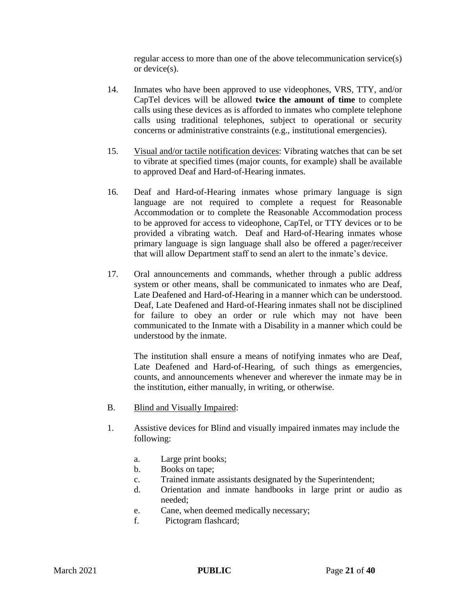regular access to more than one of the above telecommunication service(s) or device(s).

- 14. Inmates who have been approved to use videophones, VRS, TTY, and/or CapTel devices will be allowed **twice the amount of time** to complete calls using these devices as is afforded to inmates who complete telephone calls using traditional telephones, subject to operational or security concerns or administrative constraints (e.g., institutional emergencies).
- 15. Visual and/or tactile notification devices: Vibrating watches that can be set to vibrate at specified times (major counts, for example) shall be available to approved Deaf and Hard-of-Hearing inmates.
- 16. Deaf and Hard-of-Hearing inmates whose primary language is sign language are not required to complete a request for Reasonable Accommodation or to complete the Reasonable Accommodation process to be approved for access to videophone, CapTel, or TTY devices or to be provided a vibrating watch. Deaf and Hard-of-Hearing inmates whose primary language is sign language shall also be offered a pager/receiver that will allow Department staff to send an alert to the inmate's device.
- 17. Oral announcements and commands, whether through a public address system or other means, shall be communicated to inmates who are Deaf, Late Deafened and Hard-of-Hearing in a manner which can be understood. Deaf, Late Deafened and Hard-of-Hearing inmates shall not be disciplined for failure to obey an order or rule which may not have been communicated to the Inmate with a Disability in a manner which could be understood by the inmate.

The institution shall ensure a means of notifying inmates who are Deaf, Late Deafened and Hard-of-Hearing, of such things as emergencies, counts, and announcements whenever and wherever the inmate may be in the institution, either manually, in writing, or otherwise.

- B. Blind and Visually Impaired:
- 1. Assistive devices for Blind and visually impaired inmates may include the following:
	- a. Large print books;
	- b. Books on tape;
	- c. Trained inmate assistants designated by the Superintendent;
	- d. Orientation and inmate handbooks in large print or audio as needed;
	- e. Cane, when deemed medically necessary;
	- f. Pictogram flashcard;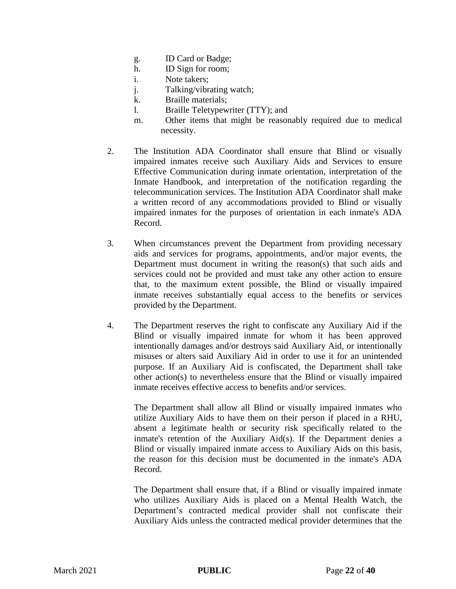- g. ID Card or Badge;
- h. ID Sign for room;
- i. Note takers;
- j. Talking/vibrating watch;
- k. Braille materials;
- l. Braille Teletypewriter (TTY); and
- m. Other items that might be reasonably required due to medical necessity.
- 2. The Institution ADA Coordinator shall ensure that Blind or visually impaired inmates receive such Auxiliary Aids and Services to ensure Effective Communication during inmate orientation, interpretation of the Inmate Handbook, and interpretation of the notification regarding the telecommunication services. The Institution ADA Coordinator shall make a written record of any accommodations provided to Blind or visually impaired inmates for the purposes of orientation in each inmate's ADA Record.
- 3. When circumstances prevent the Department from providing necessary aids and services for programs, appointments, and/or major events, the Department must document in writing the reason(s) that such aids and services could not be provided and must take any other action to ensure that, to the maximum extent possible, the Blind or visually impaired inmate receives substantially equal access to the benefits or services provided by the Department.
- 4. The Department reserves the right to confiscate any Auxiliary Aid if the Blind or visually impaired inmate for whom it has been approved intentionally damages and/or destroys said Auxiliary Aid, or intentionally misuses or alters said Auxiliary Aid in order to use it for an unintended purpose. If an Auxiliary Aid is confiscated, the Department shall take other action(s) to nevertheless ensure that the Blind or visually impaired inmate receives effective access to benefits and/or services.

The Department shall allow all Blind or visually impaired inmates who utilize Auxiliary Aids to have them on their person if placed in a RHU, absent a legitimate health or security risk specifically related to the inmate's retention of the Auxiliary Aid(s). If the Department denies a Blind or visually impaired inmate access to Auxiliary Aids on this basis, the reason for this decision must be documented in the inmate's ADA Record.

The Department shall ensure that, if a Blind or visually impaired inmate who utilizes Auxiliary Aids is placed on a Mental Health Watch, the Department's contracted medical provider shall not confiscate their Auxiliary Aids unless the contracted medical provider determines that the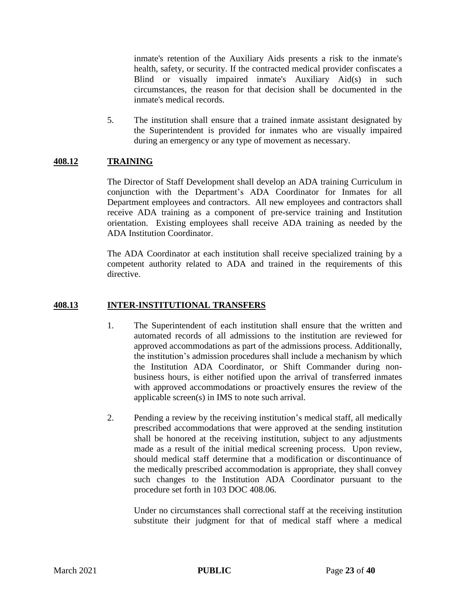inmate's retention of the Auxiliary Aids presents a risk to the inmate's health, safety, or security. If the contracted medical provider confiscates a Blind or visually impaired inmate's Auxiliary Aid(s) in such circumstances, the reason for that decision shall be documented in the inmate's medical records.

5. The institution shall ensure that a trained inmate assistant designated by the Superintendent is provided for inmates who are visually impaired during an emergency or any type of movement as necessary.

### **408.12 TRAINING**

The Director of Staff Development shall develop an ADA training Curriculum in conjunction with the Department's ADA Coordinator for Inmates for all Department employees and contractors. All new employees and contractors shall receive ADA training as a component of pre-service training and Institution orientation. Existing employees shall receive ADA training as needed by the ADA Institution Coordinator.

The ADA Coordinator at each institution shall receive specialized training by a competent authority related to ADA and trained in the requirements of this directive.

#### **408.13 INTER-INSTITUTIONAL TRANSFERS**

- 1. The Superintendent of each institution shall ensure that the written and automated records of all admissions to the institution are reviewed for approved accommodations as part of the admissions process. Additionally, the institution's admission procedures shall include a mechanism by which the Institution ADA Coordinator, or Shift Commander during nonbusiness hours, is either notified upon the arrival of transferred inmates with approved accommodations or proactively ensures the review of the applicable screen(s) in IMS to note such arrival.
- 2. Pending a review by the receiving institution's medical staff, all medically prescribed accommodations that were approved at the sending institution shall be honored at the receiving institution, subject to any adjustments made as a result of the initial medical screening process. Upon review, should medical staff determine that a modification or discontinuance of the medically prescribed accommodation is appropriate, they shall convey such changes to the Institution ADA Coordinator pursuant to the procedure set forth in 103 DOC 408.06.

Under no circumstances shall correctional staff at the receiving institution substitute their judgment for that of medical staff where a medical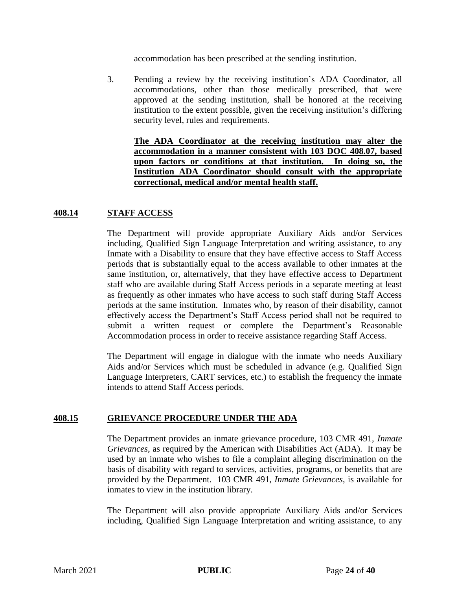accommodation has been prescribed at the sending institution.

3. Pending a review by the receiving institution's ADA Coordinator, all accommodations, other than those medically prescribed, that were approved at the sending institution, shall be honored at the receiving institution to the extent possible, given the receiving institution's differing security level, rules and requirements.

**The ADA Coordinator at the receiving institution may alter the accommodation in a manner consistent with 103 DOC 408.07, based upon factors or conditions at that institution. In doing so, the Institution ADA Coordinator should consult with the appropriate correctional, medical and/or mental health staff.**

### **408.14 STAFF ACCESS**

The Department will provide appropriate Auxiliary Aids and/or Services including, Qualified Sign Language Interpretation and writing assistance, to any Inmate with a Disability to ensure that they have effective access to Staff Access periods that is substantially equal to the access available to other inmates at the same institution, or, alternatively, that they have effective access to Department staff who are available during Staff Access periods in a separate meeting at least as frequently as other inmates who have access to such staff during Staff Access periods at the same institution. Inmates who, by reason of their disability, cannot effectively access the Department's Staff Access period shall not be required to submit a written request or complete the Department's Reasonable Accommodation process in order to receive assistance regarding Staff Access.

The Department will engage in dialogue with the inmate who needs Auxiliary Aids and/or Services which must be scheduled in advance (e.g. Qualified Sign Language Interpreters, CART services, etc.) to establish the frequency the inmate intends to attend Staff Access periods.

#### **408.15 GRIEVANCE PROCEDURE UNDER THE ADA**

The Department provides an inmate grievance procedure, 103 CMR 491, *Inmate Grievances*, as required by the American with Disabilities Act (ADA). It may be used by an inmate who wishes to file a complaint alleging discrimination on the basis of disability with regard to services, activities, programs, or benefits that are provided by the Department. 103 CMR 491, *Inmate Grievances*, is available for inmates to view in the institution library.

The Department will also provide appropriate Auxiliary Aids and/or Services including, Qualified Sign Language Interpretation and writing assistance, to any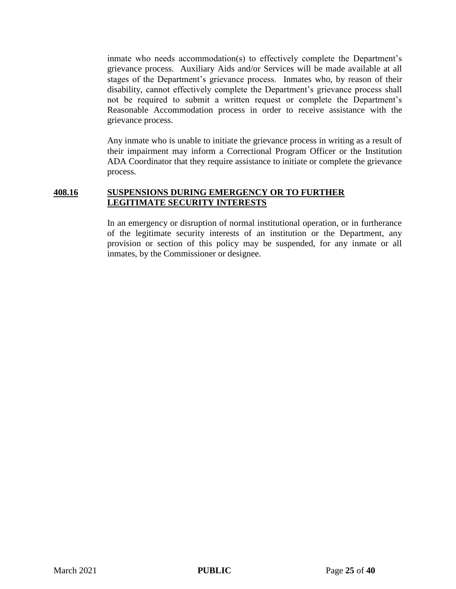inmate who needs accommodation(s) to effectively complete the Department's grievance process. Auxiliary Aids and/or Services will be made available at all stages of the Department's grievance process. Inmates who, by reason of their disability, cannot effectively complete the Department's grievance process shall not be required to submit a written request or complete the Department's Reasonable Accommodation process in order to receive assistance with the grievance process.

Any inmate who is unable to initiate the grievance process in writing as a result of their impairment may inform a Correctional Program Officer or the Institution ADA Coordinator that they require assistance to initiate or complete the grievance process.

#### **408.16 SUSPENSIONS DURING EMERGENCY OR TO FURTHER LEGITIMATE SECURITY INTERESTS**

In an emergency or disruption of normal institutional operation, or in furtherance of the legitimate security interests of an institution or the Department, any provision or section of this policy may be suspended, for any inmate or all inmates, by the Commissioner or designee.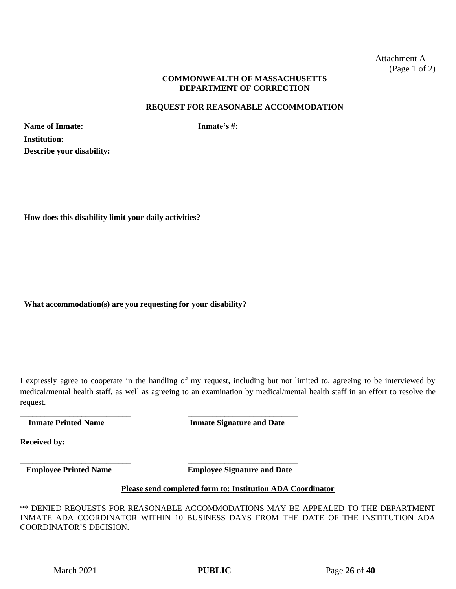#### **COMMONWEALTH OF MASSACHUSETTS DEPARTMENT OF CORRECTION**

### **REQUEST FOR REASONABLE ACCOMMODATION**

| <b>Name of Inmate:</b>                                        | Inmate's #:                                                                                                                   |
|---------------------------------------------------------------|-------------------------------------------------------------------------------------------------------------------------------|
| <b>Institution:</b>                                           |                                                                                                                               |
| Describe your disability:                                     |                                                                                                                               |
|                                                               |                                                                                                                               |
|                                                               |                                                                                                                               |
|                                                               |                                                                                                                               |
|                                                               |                                                                                                                               |
|                                                               |                                                                                                                               |
| How does this disability limit your daily activities?         |                                                                                                                               |
|                                                               |                                                                                                                               |
|                                                               |                                                                                                                               |
|                                                               |                                                                                                                               |
|                                                               |                                                                                                                               |
|                                                               |                                                                                                                               |
| What accommodation(s) are you requesting for your disability? |                                                                                                                               |
|                                                               |                                                                                                                               |
|                                                               |                                                                                                                               |
|                                                               |                                                                                                                               |
|                                                               |                                                                                                                               |
|                                                               |                                                                                                                               |
|                                                               | I expressly agree to cooperate in the handling of my request, including but not limited to, agreeing to be interviewed by     |
|                                                               | medical/mental health staff, as well as agreeing to an examination by medical/mental health staff in an effort to resolve the |
| request.                                                      |                                                                                                                               |
|                                                               |                                                                                                                               |
| <b>Inmate Printed Name</b>                                    | <b>Inmate Signature and Date</b>                                                                                              |
| <b>Received by:</b>                                           |                                                                                                                               |
|                                                               |                                                                                                                               |
| <b>Employee Printed Name</b>                                  | <b>Employee Signature and Date</b>                                                                                            |
|                                                               |                                                                                                                               |
|                                                               | Please send completed form to: Institution ADA Coordinator                                                                    |
|                                                               | ** DENIED REQUESTS FOR REASONABLE ACCOMMODATIONS MAY BE APPEALED TO THE DEPARTMENT                                            |
|                                                               | INMATE ADA COORDINATOR WITHIN 10 BUSINESS DAYS FROM THE DATE OF THE INSTITUTION ADA                                           |

COORDINATOR'S DECISION.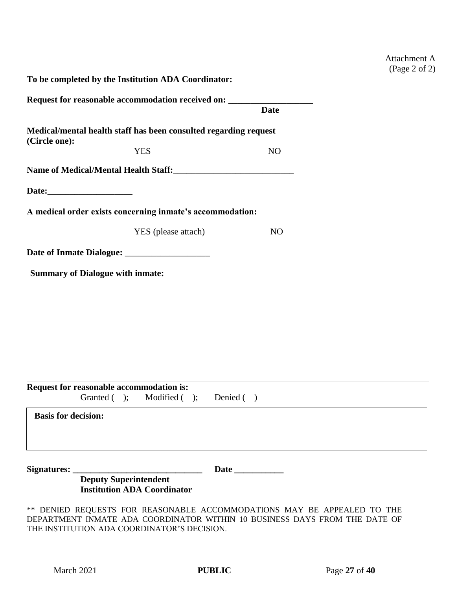| <b>Attachment A</b> |  |
|---------------------|--|
| (Page 2 of 2)       |  |

| To be completed by the Institution ADA Coordinator: |                                                                  |                                                                                   |  |
|-----------------------------------------------------|------------------------------------------------------------------|-----------------------------------------------------------------------------------|--|
|                                                     |                                                                  | Request for reasonable accommodation received on: _______________________________ |  |
|                                                     |                                                                  | <b>Date</b>                                                                       |  |
| (Circle one):                                       | Medical/mental health staff has been consulted regarding request |                                                                                   |  |
|                                                     | <b>YES</b>                                                       | N <sub>O</sub>                                                                    |  |
|                                                     | Name of Medical/Mental Health Staff:                             |                                                                                   |  |
|                                                     |                                                                  |                                                                                   |  |
|                                                     | A medical order exists concerning inmate's accommodation:        |                                                                                   |  |
|                                                     | YES (please attach)                                              | N <sub>O</sub>                                                                    |  |
|                                                     |                                                                  |                                                                                   |  |
| <b>Summary of Dialogue with inmate:</b>             |                                                                  |                                                                                   |  |
|                                                     |                                                                  |                                                                                   |  |
|                                                     |                                                                  |                                                                                   |  |
|                                                     |                                                                  |                                                                                   |  |
|                                                     |                                                                  |                                                                                   |  |
|                                                     |                                                                  |                                                                                   |  |
|                                                     |                                                                  |                                                                                   |  |
|                                                     |                                                                  |                                                                                   |  |
| Request for reasonable accommodation is:            |                                                                  |                                                                                   |  |
| Granted $($ $)$ ;                                   | Modified $($ $)$ ;                                               | Denied $( )$                                                                      |  |
| <b>Basis for decision:</b>                          |                                                                  |                                                                                   |  |
|                                                     |                                                                  |                                                                                   |  |
|                                                     |                                                                  |                                                                                   |  |
|                                                     |                                                                  |                                                                                   |  |
|                                                     | <b>Deputy Superintendent</b>                                     |                                                                                   |  |
|                                                     | <b>Institution ADA Coordinator</b>                               |                                                                                   |  |
|                                                     |                                                                  | ** DENIED REQUESTS FOR REASONABLE ACCOMMODATIONS MAY BE APPEALED TO THE           |  |
|                                                     |                                                                  | DEPARTMENT INMATE ADA COORDINATOR WITHIN 10 BUSINESS DAYS FROM THE DATE OF        |  |
|                                                     | THE INSTITUTION ADA COORDINATOR'S DECISION.                      |                                                                                   |  |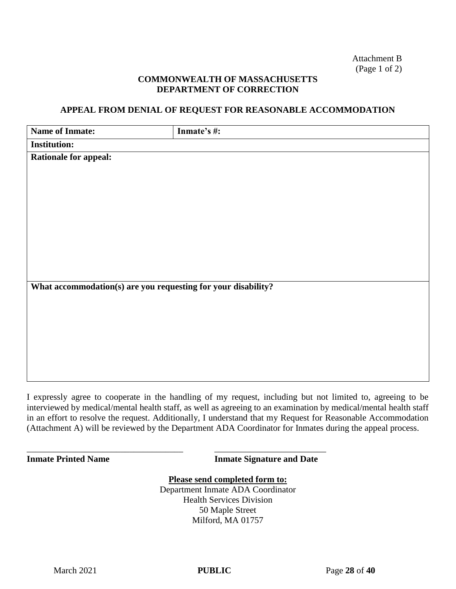Attachment B (Page 1 of 2)

#### **COMMONWEALTH OF MASSACHUSETTS DEPARTMENT OF CORRECTION**

#### **APPEAL FROM DENIAL OF REQUEST FOR REASONABLE ACCOMMODATION**

| <b>Name of Inmate:</b>                                        | Inmate's #: |
|---------------------------------------------------------------|-------------|
| <b>Institution:</b>                                           |             |
| <b>Rationale for appeal:</b>                                  |             |
|                                                               |             |
|                                                               |             |
|                                                               |             |
|                                                               |             |
|                                                               |             |
|                                                               |             |
|                                                               |             |
|                                                               |             |
|                                                               |             |
| What accommodation(s) are you requesting for your disability? |             |
|                                                               |             |
|                                                               |             |
|                                                               |             |
|                                                               |             |
|                                                               |             |
|                                                               |             |
|                                                               |             |

I expressly agree to cooperate in the handling of my request, including but not limited to, agreeing to be interviewed by medical/mental health staff, as well as agreeing to an examination by medical/mental health staff in an effort to resolve the request. Additionally, I understand that my Request for Reasonable Accommodation (Attachment A) will be reviewed by the Department ADA Coordinator for Inmates during the appeal process.

\_\_\_\_\_\_\_\_\_\_\_\_\_\_\_\_\_\_\_\_\_\_\_\_\_\_\_\_\_\_\_\_\_\_\_ \_\_\_\_\_\_\_\_\_\_\_\_\_\_\_\_\_\_\_\_\_\_\_\_\_

**Inmate Printed Name <b>Installer Inmate Signature and Date** 

**Please send completed form to:**  Department Inmate ADA Coordinator Health Services Division 50 Maple Street Milford, MA 01757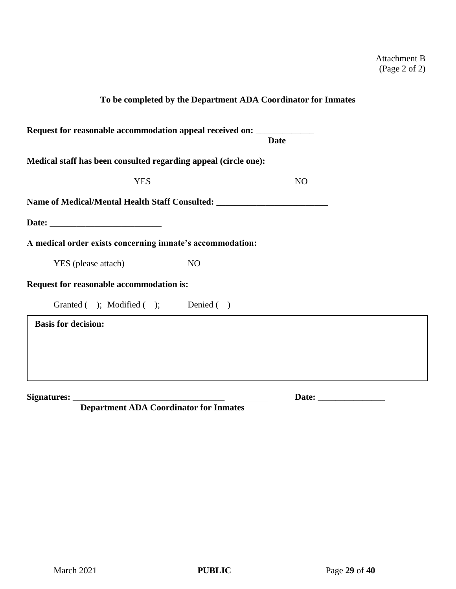|                                                                                  |                | To be completed by the Department ADA Coordinator for Inmates |  |
|----------------------------------------------------------------------------------|----------------|---------------------------------------------------------------|--|
| Request for reasonable accommodation appeal received on: _____________           |                | <b>Date</b>                                                   |  |
| Medical staff has been consulted regarding appeal (circle one):                  |                |                                                               |  |
| <b>YES</b>                                                                       |                | N <sub>O</sub>                                                |  |
| Name of Medical/Mental Health Staff Consulted: _________________________________ |                |                                                               |  |
|                                                                                  |                |                                                               |  |
| A medical order exists concerning inmate's accommodation:                        |                |                                                               |  |
| YES (please attach)                                                              | N <sub>O</sub> |                                                               |  |
| Request for reasonable accommodation is:                                         |                |                                                               |  |
| Granted ( ); Modified ( ); Denied ( )                                            |                |                                                               |  |
| <b>Basis for decision:</b>                                                       |                |                                                               |  |
|                                                                                  |                |                                                               |  |
|                                                                                  |                |                                                               |  |
| Signatures:                                                                      |                | Date:                                                         |  |

 **Department ADA Coordinator for Inmates**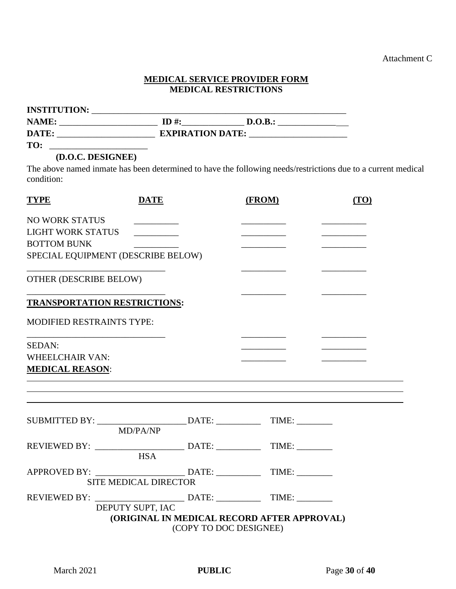Attachment C

 $\overline{\phantom{0}}$ 

### **MEDICAL SERVICE PROVIDER FORM MEDICAL RESTRICTIONS**

| <b>INSTITUTION:</b> |                         |         |  |
|---------------------|-------------------------|---------|--|
| NAME:               | $ID#$ :                 | D.O.B.: |  |
| DATE:               | <b>EXPIRATION DATE:</b> |         |  |
| TO:                 |                         |         |  |

## **(D.O.C. DESIGNEE)**

The above named inmate has been determined to have the following needs/restrictions due to a current medical condition:

| <b>TYPE</b>                                                                      | <b>DATE</b>                  |                        | (FROM)                                      | (TO) |
|----------------------------------------------------------------------------------|------------------------------|------------------------|---------------------------------------------|------|
| NO WORK STATUS                                                                   |                              |                        |                                             |      |
| <b>LIGHT WORK STATUS</b>                                                         |                              |                        |                                             |      |
| <b>BOTTOM BUNK</b>                                                               |                              |                        |                                             |      |
| SPECIAL EQUIPMENT (DESCRIBE BELOW)                                               |                              |                        |                                             |      |
| <b>OTHER (DESCRIBE BELOW)</b>                                                    |                              |                        |                                             |      |
| <b>TRANSPORTATION RESTRICTIONS:</b>                                              |                              |                        |                                             |      |
| <b>MODIFIED RESTRAINTS TYPE:</b>                                                 |                              |                        |                                             |      |
| SEDAN:                                                                           |                              |                        |                                             |      |
| <b>WHEELCHAIR VAN:</b>                                                           |                              |                        |                                             |      |
| <b>MEDICAL REASON:</b>                                                           |                              |                        |                                             |      |
|                                                                                  |                              |                        |                                             |      |
| SUBMITTED BY: _______________________DATE: _______________TIME: ________________ |                              |                        |                                             |      |
|                                                                                  | MD/PA/NP                     |                        |                                             |      |
|                                                                                  |                              |                        |                                             |      |
|                                                                                  | <b>HSA</b>                   |                        |                                             |      |
|                                                                                  |                              |                        |                                             |      |
|                                                                                  | <b>SITE MEDICAL DIRECTOR</b> |                        |                                             |      |
|                                                                                  |                              |                        |                                             |      |
|                                                                                  | DEPUTY SUPT, IAC             |                        |                                             |      |
|                                                                                  |                              | (COPY TO DOC DESIGNEE) | (ORIGINAL IN MEDICAL RECORD AFTER APPROVAL) |      |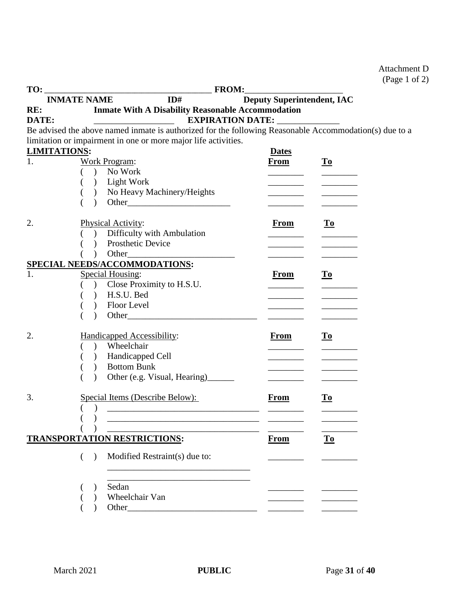## Attachment D (Page 1 of 2)

| TO:   | <b>FROM:</b>                                                                                           |                                   |                           |
|-------|--------------------------------------------------------------------------------------------------------|-----------------------------------|---------------------------|
|       | ID#<br><b>INMATE NAME</b>                                                                              | <b>Deputy Superintendent, IAC</b> |                           |
| RE:   | <b>Inmate With A Disability Reasonable Accommodation</b>                                               |                                   |                           |
| DATE: |                                                                                                        | EXPIRATION DATE: _____________    |                           |
|       | Be advised the above named inmate is authorized for the following Reasonable Accommodation(s) due to a |                                   |                           |
|       | limitation or impairment in one or more major life activities.                                         |                                   |                           |
| 1.    | <b>LIMITATIONS:</b>                                                                                    | <b>Dates</b>                      |                           |
|       | <b>Work Program:</b>                                                                                   | <b>From</b>                       | $\underline{\mathbf{To}}$ |
|       | No Work<br>$\lambda$                                                                                   |                                   |                           |
|       | ) Light Work<br>No Heavy Machinery/Heights                                                             |                                   |                           |
|       |                                                                                                        |                                   |                           |
|       |                                                                                                        |                                   |                           |
| 2.    | Physical Activity:                                                                                     | <b>From</b>                       | $\underline{\mathbf{To}}$ |
|       | Difficulty with Ambulation                                                                             |                                   |                           |
|       | Prosthetic Device                                                                                      |                                   |                           |
|       | $\mathcal{L}$                                                                                          |                                   |                           |
|       | SPECIAL NEEDS/ACCOMMODATIONS:                                                                          |                                   |                           |
| 1.    | Special Housing:                                                                                       | <b>From</b>                       | $\underline{\mathbf{To}}$ |
|       | Close Proximity to H.S.U.                                                                              |                                   |                           |
|       | H.S.U. Bed<br>$\mathcal{L}$                                                                            |                                   |                           |
|       | Floor Level                                                                                            |                                   |                           |
|       |                                                                                                        |                                   |                           |
|       |                                                                                                        |                                   |                           |
| 2.    | <b>Handicapped Accessibility:</b>                                                                      | <b>From</b>                       | $\underline{\mathbf{To}}$ |
|       | Wheelchair<br>$\lambda$                                                                                |                                   |                           |
|       | Handicapped Cell<br>$\overline{)}$                                                                     |                                   |                           |
|       | <b>Bottom Bunk</b><br>$\overline{)}$                                                                   |                                   |                           |
|       | Other (e.g. Visual, Hearing)_______                                                                    |                                   |                           |
| 3.    | Special Items (Describe Below):                                                                        | <b>From</b>                       | $\underline{\mathbf{To}}$ |
|       |                                                                                                        |                                   |                           |
|       | $\lambda$                                                                                              |                                   |                           |
|       |                                                                                                        |                                   |                           |
|       | <b>TRANSPORTATION RESTRICTIONS:</b>                                                                    | <b>From</b>                       | $\underline{\mathbf{To}}$ |
|       |                                                                                                        |                                   |                           |
|       | Modified Restraint(s) due to:<br>$\lambda$                                                             |                                   |                           |
|       |                                                                                                        |                                   |                           |
|       | Sedan                                                                                                  |                                   |                           |
|       | Wheelchair Van                                                                                         |                                   |                           |
|       |                                                                                                        |                                   |                           |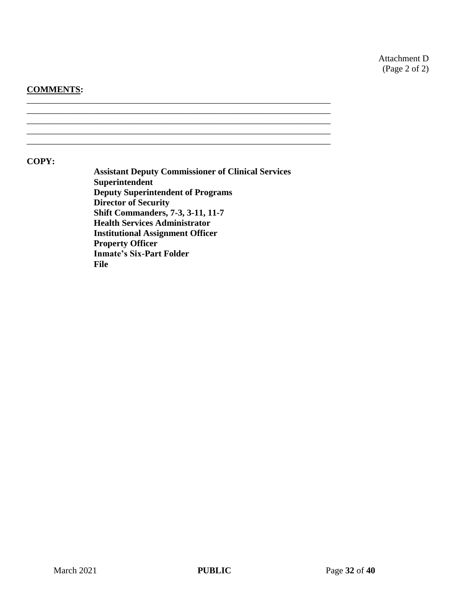Attachment D (Page 2 of 2)

#### **COMMENTS:**

**File**

\_\_\_\_\_\_\_\_\_\_\_\_\_\_\_\_\_\_\_\_\_\_\_\_\_\_\_\_\_\_\_\_\_\_\_\_\_\_\_\_\_\_\_\_\_\_\_\_\_\_\_\_\_\_\_\_\_\_\_\_\_\_\_\_\_\_\_\_ \_\_\_\_\_\_\_\_\_\_\_\_\_\_\_\_\_\_\_\_\_\_\_\_\_\_\_\_\_\_\_\_\_\_\_\_\_\_\_\_\_\_\_\_\_\_\_\_\_\_\_\_\_\_\_\_\_\_\_\_\_\_\_\_\_\_\_\_ \_\_\_\_\_\_\_\_\_\_\_\_\_\_\_\_\_\_\_\_\_\_\_\_\_\_\_\_\_\_\_\_\_\_\_\_\_\_\_\_\_\_\_\_\_\_\_\_\_\_\_\_\_\_\_\_\_\_\_\_\_\_\_\_\_\_\_\_ \_\_\_\_\_\_\_\_\_\_\_\_\_\_\_\_\_\_\_\_\_\_\_\_\_\_\_\_\_\_\_\_\_\_\_\_\_\_\_\_\_\_\_\_\_\_\_\_\_\_\_\_\_\_\_\_\_\_\_\_\_\_\_\_\_\_\_\_ **COPY: Assistant Deputy Commissioner of Clinical Services Superintendent Deputy Superintendent of Programs Director of Security Shift Commanders, 7-3, 3-11, 11-7 Health Services Administrator Institutional Assignment Officer Property Officer Inmate's Six-Part Folder**

\_\_\_\_\_\_\_\_\_\_\_\_\_\_\_\_\_\_\_\_\_\_\_\_\_\_\_\_\_\_\_\_\_\_\_\_\_\_\_\_\_\_\_\_\_\_\_\_\_\_\_\_\_\_\_\_\_\_\_\_\_\_\_\_\_\_\_\_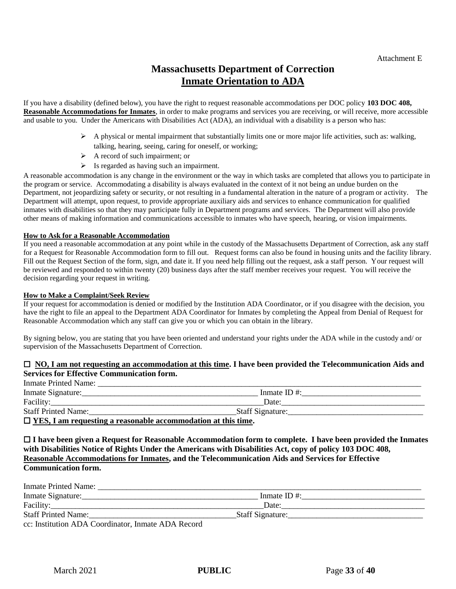## **Massachusetts Department of Correction Inmate Orientation to ADA**

If you have a disability (defined below), you have the right to request reasonable accommodations per DOC policy **103 DOC 408, Reasonable Accommodations for Inmates**, in order to make programs and services you are receiving, or will receive, more accessible and usable to you. Under the Americans with Disabilities Act (ADA), an individual with a disability is a person who has:

- $\triangleright$  A physical or mental impairment that substantially limits one or more major life activities, such as: walking, talking, hearing, seeing, caring for oneself, or working;
- $\triangleright$  A record of such impairment; or
- $\triangleright$  Is regarded as having such an impairment.

A reasonable accommodation is any change in the environment or the way in which tasks are completed that allows you to participate in the program or service. Accommodating a disability is always evaluated in the context of it not being an undue burden on the Department, not jeopardizing safety or security, or not resulting in a fundamental alteration in the nature of a program or activity. The Department will attempt, upon request, to provide appropriate auxiliary aids and services to enhance communication for qualified inmates with disabilities so that they may participate fully in Department programs and services. The Department will also provide other means of making information and communications accessible to inmates who have speech, hearing, or vision impairments.

#### **How to Ask for a Reasonable Accommodation**

If you need a reasonable accommodation at any point while in the custody of the Massachusetts Department of Correction, ask any staff for a Request for Reasonable Accommodation form to fill out. Request forms can also be found in housing units and the facility library. Fill out the Request Section of the form, sign, and date it. If you need help filling out the request, ask a staff person. Your request will be reviewed and responded to within twenty (20) business days after the staff member receives your request. You will receive the decision regarding your request in writing.

#### **How to Make a Complaint/Seek Review**

If your request for accommodation is denied or modified by the Institution ADA Coordinator, or if you disagree with the decision, you have the right to file an appeal to the Department ADA Coordinator for Inmates by completing the Appeal from Denial of Request for Reasonable Accommodation which any staff can give you or which you can obtain in the library.

By signing below, you are stating that you have been oriented and understand your rights under the ADA while in the custody and/ or supervision of the Massachusetts Department of Correction.

#### **NO, I am not requesting an accommodation at this time. I have been provided the Telecommunication Aids and Services for Effective Communication form.**

| <b>Inmate Printed Name:</b>                                          |                         |  |
|----------------------------------------------------------------------|-------------------------|--|
| Inmate Signature:                                                    | Inmate ID $#$ :         |  |
| Facility:                                                            | Date:                   |  |
| <b>Staff Printed Name:</b>                                           | <b>Staff Signature:</b> |  |
| $\Box$ YES, I am requesting a reasonable accommodation at this time. |                         |  |

 **I have been given a Request for Reasonable Accommodation form to complete. I have been provided the Inmates with Disabilities Notice of Rights Under the Americans with Disabilities Act, copy of policy 103 DOC 408, Reasonable Accommodations for Inmates, and the Telecommunication Aids and Services for Effective Communication form.**

| Inmate Printed Name:                               |                   |
|----------------------------------------------------|-------------------|
| Inmate Signature:                                  | Inmate ID $#$ :   |
|                                                    | Date:             |
| <b>Staff Printed Name:</b>                         | _Staff Signature: |
| cc: Institution ADA Coordinator, Inmate ADA Record |                   |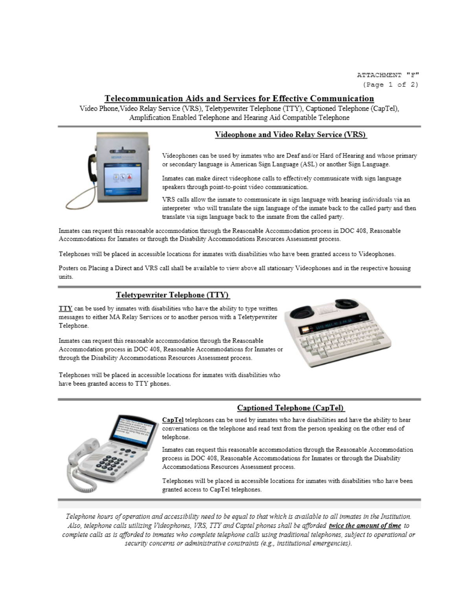#### Telecommunication Aids and Services for Effective Communication

Video Phone, Video Relay Service (VRS), Teletypewriter Telephone (TTY), Captioned Telephone (CapTel), Amplification Enabled Telephone and Hearing Aid Compatible Telephone

#### Videophone and Video Relay Service (VRS)



Inmates can make direct videophone calls to effectively communicate with sign language speakers through point-to-point video communication.

VRS calls allow the inmate to communicate in sign language with hearing individuals via an interpreter who will translate the sign language of the inmate back to the called party and then translate via sign language back to the inmate from the called party.

Inmates can request this reasonable accommodation through the Reasonable Accommodation process in DOC 408, Reasonable Accommodations for Inmates or through the Disability Accommodations Resources Assessment process.

Telephones will be placed in accessible locations for inmates with disabilities who have been granted access to Videophones.

Posters on Placing a Direct and VRS call shall be available to view above all stationary Videophones and in the respective housing units.

#### Teletypewriter Telephone (TTY)

TTY can be used by inmates with disabilities who have the ability to type written messages to either MA Relay Services or to another person with a Teletypewriter Telephone.

Inmates can request this reasonable accommodation through the Reasonable Accommodation process in DOC 408, Reasonable Accommodations for Inmates or through the Disability Accommodations Resources Assessment process.



Telephones will be placed in accessible locations for inmates with disabilities who have been granted access to TTY phones.



#### **Captioned Telephone (CapTel)**

CapTel telephones can be used by inmates who have disabilities and have the ability to hear conversations on the telephone and read text from the person speaking on the other end of telephone.

Inmates can request this reasonable accommodation through the Reasonable Accommodation process in DOC 408, Reasonable Accommodations for Inmates or through the Disability Accommodations Resources Assessment process.

Telephones will be placed in accessible locations for inmates with disabilities who have been granted access to CapTel telephones.

Telephone hours of operation and accessibility need to be equal to that which is available to all inmates in the Institution. Also, telephone calls utilizing Videophones, VRS, TTY and Captel phones shall be afforded twice the amount of time to complete calls as is afforded to inmates who complete telephone calls using traditional telephones, subject to operational or security concerns or administrative constraints (e.g., institutional emergencies).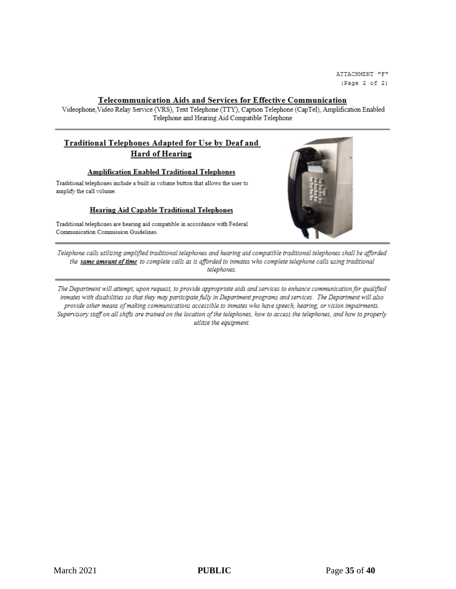ATTACHMENT "F"  $(Page 2 of 2)$ 

#### **Telecommunication Aids and Services for Effective Communication**

Videophone, Video Relay Service (VRS), Text Telephone (TTY), Caption Telephone (CapTel), Amplification Enabled Telephone and Hearing Aid Compatible Telephone

#### Traditional Telephones Adapted for Use by Deaf and Hard of Hearing

#### **Amplification Enabled Traditional Telephones**

Traditional telephones include a built in volume button that allows the user to amplify the call volume.

#### **Hearing Aid Capable Traditional Telephones**

Traditional telephones are hearing aid compatible in accordance with Federal Communication Commission Guidelines.



Telephone calls utilizing amplified traditional telephones and hearing aid compatible traditional telephones shall be afforded the same amount of time to complete calls as is afforded to inmates who complete telephone calls using traditional telephones.

The Department will attempt, upon request, to provide appropriate aids and services to enhance communication for qualified inmates with disabilities so that they may participate fully in Department programs and services. The Department will also provide other means of making communications accessible to inmates who have speech, hearing, or vision impairments. Supervisory staff on all shifts are trained on the location of the telephones, how to access the telephones, and how to properly utlitze the equipment.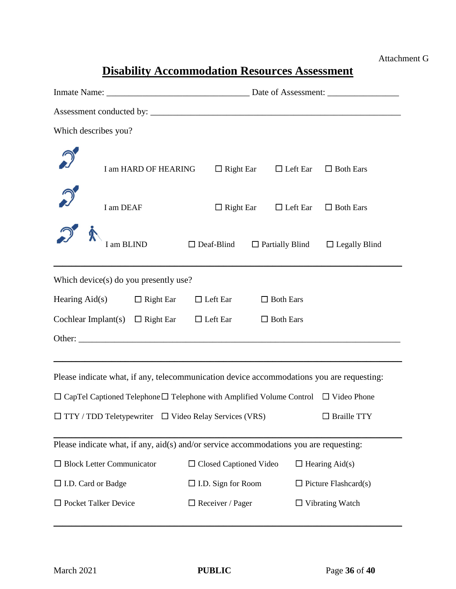# **Disability Accommodation Resources Assessment**

| Which describes you?                                                                                |                                                   |                                             |  |  |
|-----------------------------------------------------------------------------------------------------|---------------------------------------------------|---------------------------------------------|--|--|
| I am HARD OF HEARING                                                                                | $\Box$ Right Ear $\Box$ Left Ear $\Box$ Both Ears |                                             |  |  |
| I am DEAF                                                                                           | $\Box$ Right Ear $\Box$ Left Ear $\Box$ Both Ears |                                             |  |  |
| I am BLIND                                                                                          | $\Box$ Deaf-Blind                                 | $\Box$ Partially Blind $\Box$ Legally Blind |  |  |
| Which device(s) do you presently use?                                                               |                                                   |                                             |  |  |
| Hearing Aid(s) $\Box$ Right Ear                                                                     | $\Box$ Left Ear<br>$\Box$ Both Ears               |                                             |  |  |
| Cochlear Implant(s) $\Box$ Right Ear $\Box$ Left Ear<br>$\Box$ Both Ears                            |                                                   |                                             |  |  |
|                                                                                                     |                                                   |                                             |  |  |
|                                                                                                     |                                                   |                                             |  |  |
| Please indicate what, if any, telecommunication device accommodations you are requesting:           |                                                   |                                             |  |  |
| $\Box$ CapTel Captioned Telephone $\Box$ Telephone with Amplified Volume Control $\Box$ Video Phone |                                                   |                                             |  |  |
| $\Box$ TTY / TDD Teletypewriter $\Box$ Video Relay Services (VRS) $\Box$ Braille TTY                |                                                   |                                             |  |  |
| Please indicate what, if any, $aid(s)$ and/or service accommodations you are requesting:            |                                                   |                                             |  |  |
| $\Box$ Block Letter Communicator                                                                    | □ Closed Captioned Video                          | $\Box$ Hearing Aid(s)                       |  |  |
| □ I.D. Card or Badge                                                                                | $\Box$ I.D. Sign for Room                         | $\Box$ Picture Flashcard(s)                 |  |  |
| $\Box$ Pocket Talker Device                                                                         | $\Box$ Receiver / Pager                           | $\Box$ Vibrating Watch                      |  |  |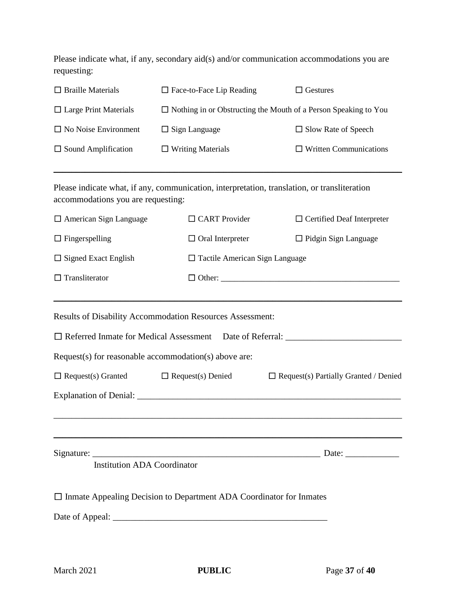Please indicate what, if any, secondary aid(s) and/or communication accommodations you are requesting:

| $\Box$ Braille Materials                                                                              | $\Box$ Face-to-Face Lip Reading                                                              | $\Box$ Gestures                                                                  |
|-------------------------------------------------------------------------------------------------------|----------------------------------------------------------------------------------------------|----------------------------------------------------------------------------------|
| $\Box$ Large Print Materials                                                                          | $\Box$ Nothing in or Obstructing the Mouth of a Person Speaking to You                       |                                                                                  |
| $\Box$ No Noise Environment                                                                           | $\Box$ Sign Language                                                                         | $\Box$ Slow Rate of Speech                                                       |
| $\Box$ Sound Amplification                                                                            | $\Box$ Writing Materials                                                                     | $\Box$ Written Communications                                                    |
| accommodations you are requesting:                                                                    | Please indicate what, if any, communication, interpretation, translation, or transliteration |                                                                                  |
| $\Box$ American Sign Language                                                                         | $\Box$ CART Provider                                                                         | $\Box$ Certified Deaf Interpreter                                                |
| $\Box$ Fingerspelling                                                                                 | $\Box$ Oral Interpreter                                                                      | $\Box$ Pidgin Sign Language                                                      |
| $\Box$ Signed Exact English                                                                           | $\Box$ Tactile American Sign Language                                                        |                                                                                  |
| $\Box$ Transliterator                                                                                 |                                                                                              |                                                                                  |
|                                                                                                       | <b>Results of Disability Accommodation Resources Assessment:</b>                             |                                                                                  |
|                                                                                                       |                                                                                              | □ Referred Inmate for Medical Assessment Date of Referral: _____________________ |
|                                                                                                       | Request(s) for reasonable accommodation(s) above are:                                        |                                                                                  |
| $\Box$ Request(s) Granted<br>$\Box$ Request(s) Denied<br>$\Box$ Request(s) Partially Granted / Denied |                                                                                              |                                                                                  |
|                                                                                                       |                                                                                              |                                                                                  |
|                                                                                                       |                                                                                              |                                                                                  |
| <b>Institution ADA Coordinator</b>                                                                    |                                                                                              |                                                                                  |
|                                                                                                       | $\Box$ Inmate Appealing Decision to Department ADA Coordinator for Inmates                   |                                                                                  |
|                                                                                                       |                                                                                              |                                                                                  |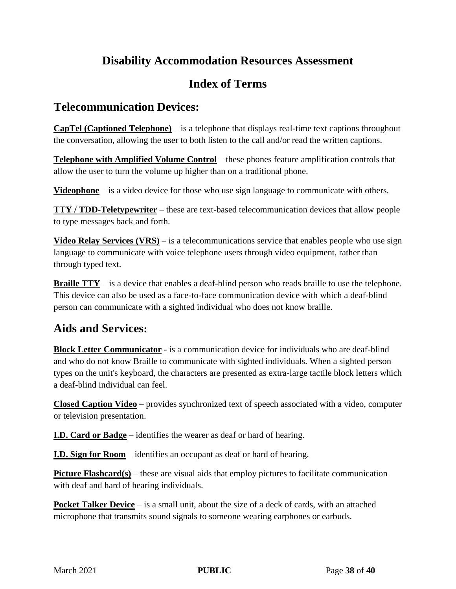## **Disability Accommodation Resources Assessment**

## **Index of Terms**

## **Telecommunication Devices:**

**CapTel (Captioned Telephone)** – is a telephone that displays real-time text captions throughout the conversation, allowing the user to both listen to the call and/or read the written captions.

**Telephone with Amplified Volume Control** – these phones feature amplification controls that allow the user to turn the volume up higher than on a traditional phone.

**Videophone** – is a video device for those who use sign language to communicate with others.

**TTY / TDD-Teletypewriter** – these are text-based telecommunication devices that allow people to type messages back and forth.

**Video Relay Services (VRS)** – is a telecommunications service that enables people who use sign language to communicate with voice telephone users through video equipment, rather than through typed text.

**Braille TTY** – is a device that enables a deaf-blind person who reads braille to use the telephone. This device can also be used as a face-to-face communication device with which a deaf-blind person can communicate with a sighted individual who does not know braille.

## **Aids and Services:**

**Block Letter Communicator** - is a communication device for individuals who are deaf-blind and who do not know Braille to communicate with sighted individuals. When a sighted person types on the unit's keyboard, the characters are presented as extra-large tactile block letters which a deaf-blind individual can feel.

**Closed Caption Video** – provides synchronized text of speech associated with a video, computer or television presentation.

**I.D. Card or Badge** – identifies the wearer as deaf or hard of hearing.

**I.D. Sign for Room** – identifies an occupant as deaf or hard of hearing.

**Picture Flashcard(s)** – these are visual aids that employ pictures to facilitate communication with deaf and hard of hearing individuals.

**Pocket Talker Device** – is a small unit, about the size of a deck of cards, with an attached microphone that transmits sound signals to someone wearing earphones or earbuds.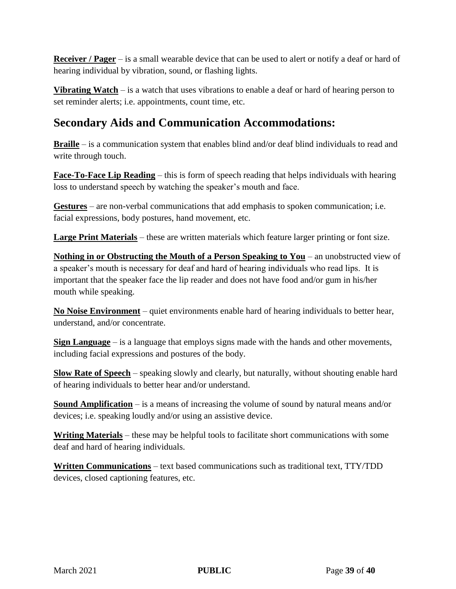**Receiver / Pager** – is a small wearable device that can be used to alert or notify a deaf or hard of hearing individual by vibration, sound, or flashing lights.

**Vibrating Watch** – is a watch that uses vibrations to enable a deaf or hard of hearing person to set reminder alerts; i.e. appointments, count time, etc.

## **Secondary Aids and Communication Accommodations:**

**Braille** – is a communication system that enables blind and/or deaf blind individuals to read and write through touch.

**Face-To-Face Lip Reading** – this is form of speech reading that helps individuals with hearing loss to understand speech by watching the speaker's mouth and face.

**Gestures** – are non-verbal communications that add emphasis to spoken communication; i.e. facial expressions, body postures, hand movement, etc.

**Large Print Materials** – these are written materials which feature larger printing or font size.

**Nothing in or Obstructing the Mouth of a Person Speaking to You** – an unobstructed view of a speaker's mouth is necessary for deaf and hard of hearing individuals who read lips. It is important that the speaker face the lip reader and does not have food and/or gum in his/her mouth while speaking.

**No Noise Environment** – quiet environments enable hard of hearing individuals to better hear, understand, and/or concentrate.

**Sign Language** – is a language that employs signs made with the hands and other movements, including facial expressions and postures of the body.

**Slow Rate of Speech** – speaking slowly and clearly, but naturally, without shouting enable hard of hearing individuals to better hear and/or understand.

**Sound Amplification** – is a means of increasing the volume of sound by natural means and/or devices; i.e. speaking loudly and/or using an assistive device.

**Writing Materials** – these may be helpful tools to facilitate short communications with some deaf and hard of hearing individuals.

**Written Communications** – text based communications such as traditional text, TTY/TDD devices, closed captioning features, etc.